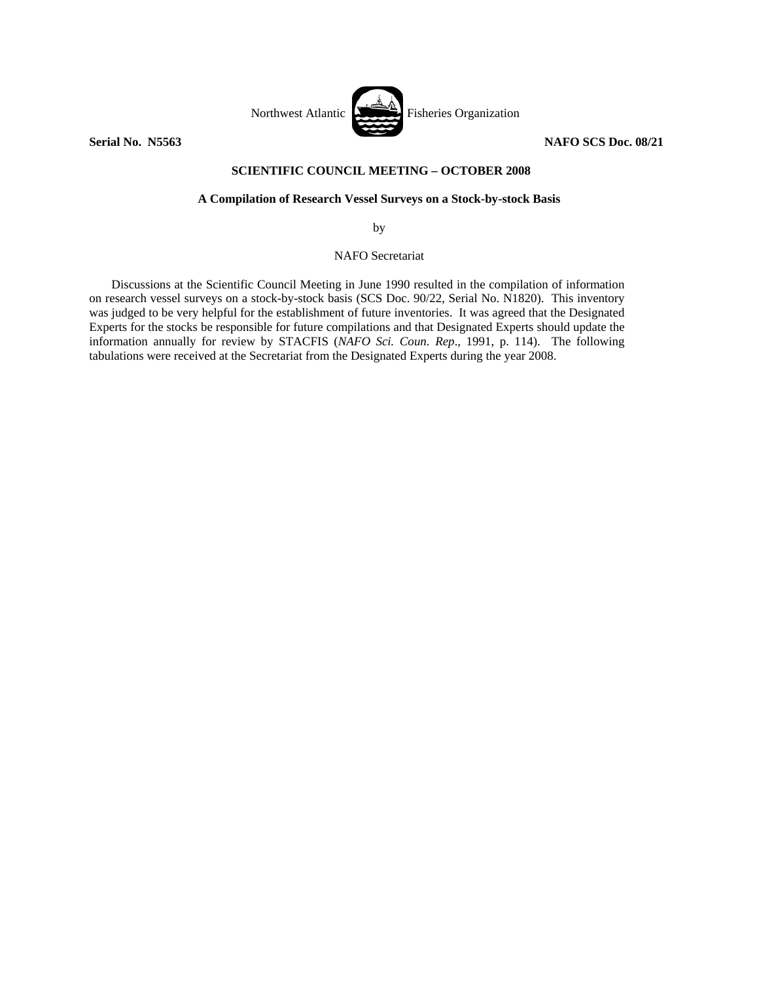

## **SCIENTIFIC COUNCIL MEETING – OCTOBER 2008**

## **A Compilation of Research Vessel Surveys on a Stock-by-stock Basis**

by

NAFO Secretariat

 Discussions at the Scientific Council Meeting in June 1990 resulted in the compilation of information on research vessel surveys on a stock-by-stock basis (SCS Doc. 90/22, Serial No. N1820). This inventory was judged to be very helpful for the establishment of future inventories. It was agreed that the Designated Experts for the stocks be responsible for future compilations and that Designated Experts should update the information annually for review by STACFIS (*NAFO Sci. Coun. Rep*., 1991, p. 114). The following tabulations were received at the Secretariat from the Designated Experts during the year 2008.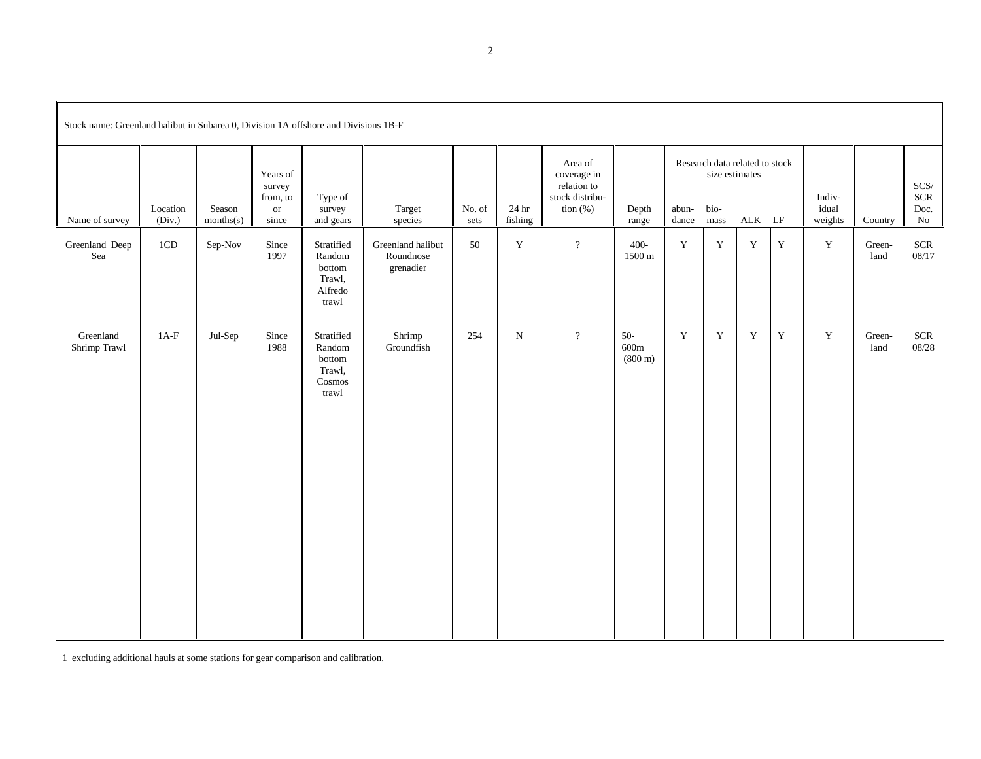| Stock name: Greenland halibut in Subarea 0, Division 1A offshore and Divisions 1B-F |                    |                     |                                                    |                                                              |                                             |                |                              |                                                                         |                                    |                |                                        |                                                             |             |                            |                |                                          |
|-------------------------------------------------------------------------------------|--------------------|---------------------|----------------------------------------------------|--------------------------------------------------------------|---------------------------------------------|----------------|------------------------------|-------------------------------------------------------------------------|------------------------------------|----------------|----------------------------------------|-------------------------------------------------------------|-------------|----------------------------|----------------|------------------------------------------|
| Name of survey                                                                      | Location<br>(Div.) | Season<br>months(s) | Years of<br>survey<br>from, to<br>$\,$ or<br>since | Type of<br>survey<br>and gears                               | Target<br>species                           | No. of<br>sets | $24\,\mathrm{hr}$<br>fishing | Area of<br>coverage in<br>relation to<br>stock distribu-<br>tion $(\%)$ | Depth<br>range                     | abun-<br>dance | size estimates<br>$_{\rm bio}$<br>mass | Research data related to stock<br>$\mathbf{ALK}$ $\quad$ LF |             | Indiv-<br>idual<br>weights | Country        | $SCS/$<br><b>SCR</b><br>Doc.<br>$\rm No$ |
| Greenland Deep<br>Sea                                                               | 1CD                | Sep-Nov             | Since<br>1997                                      | Stratified<br>Random<br>bottom<br>Trawl,<br>Alfredo<br>trawl | Greenland halibut<br>Roundnose<br>grenadier | 50             | Y                            | $\overline{?}$                                                          | $400 -$<br>1500 m                  | Y              | $\mathbf Y$                            | $\mathbf Y$                                                 | $\mathbf Y$ | $\mathbf Y$                | Green-<br>land | <b>SCR</b><br>08/17                      |
| Greenland<br>Shrimp Trawl                                                           | $1A-F$             | Jul-Sep             | Since<br>1988                                      | Stratified<br>Random<br>bottom<br>Trawl,<br>Cosmos<br>trawl  | Shrimp<br>Groundfish                        | 254            | ${\bf N}$                    | $\overline{\mathcal{L}}$                                                | $50-$<br>600m<br>$(800 \text{ m})$ | $\mathbf Y$    | $\mathbf Y$                            | $\mathbf Y$                                                 | $\mathbf Y$ | $\mathbf Y$                | Green-<br>land | <b>SCR</b><br>08/28                      |

1 excluding additional hauls at some stations for gear comparison and calibration.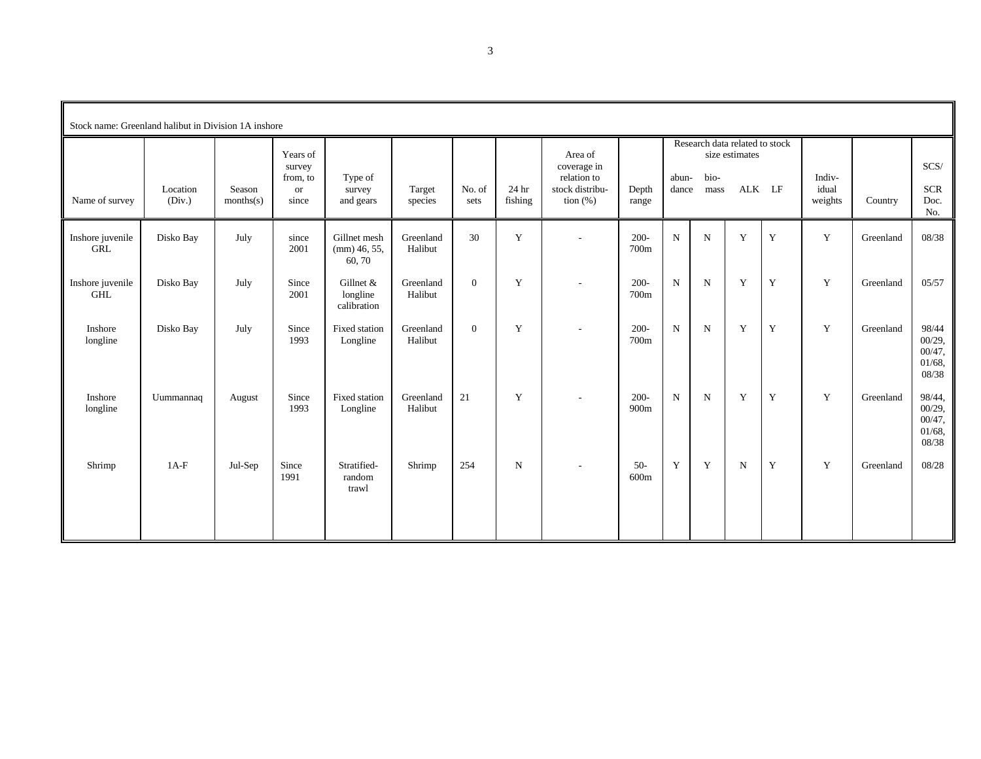| Stock name: Greenland halibut in Division 1A inshore |                    |                     |                                                      |                                          |                      |                |                  |                                                                         |                 |                |              |                                                            |             |                            |           |                                                     |
|------------------------------------------------------|--------------------|---------------------|------------------------------------------------------|------------------------------------------|----------------------|----------------|------------------|-------------------------------------------------------------------------|-----------------|----------------|--------------|------------------------------------------------------------|-------------|----------------------------|-----------|-----------------------------------------------------|
| Name of survey                                       | Location<br>(Div.) | Season<br>months(s) | Years of<br>survey<br>from, to<br><b>or</b><br>since | Type of<br>survey<br>and gears           | Target<br>species    | No. of<br>sets | 24 hr<br>fishing | Area of<br>coverage in<br>relation to<br>stock distribu-<br>tion $(\%)$ | Depth<br>range  | abun-<br>dance | bio-<br>mass | Research data related to stock<br>size estimates<br>ALK LF |             | Indiv-<br>idual<br>weights | Country   | SCS/<br><b>SCR</b><br>Doc.<br>No.                   |
| Inshore juvenile<br><b>GRL</b>                       | Disko Bay          | July                | since<br>2001                                        | Gillnet mesh<br>$\pmod{46, 55}$<br>60,70 | Greenland<br>Halibut | 30             | $\mathbf Y$      | $\sim$                                                                  | $200 -$<br>700m | $\mathbf N$    | ${\bf N}$    | Y                                                          | $\mathbf Y$ | $\mathbf Y$                | Greenland | 08/38                                               |
| Inshore juvenile<br><b>GHL</b>                       | Disko Bay          | July                | Since<br>2001                                        | Gillnet &<br>longline<br>calibration     | Greenland<br>Halibut | $\overline{0}$ | Y                | $\sim$                                                                  | $200 -$<br>700m | $\mathbf N$    | N            | Y                                                          | Y           | Y                          | Greenland | 05/57                                               |
| Inshore<br>longline                                  | Disko Bay          | July                | Since<br>1993                                        | Fixed station<br>Longline                | Greenland<br>Halibut | $\overline{0}$ | Y                | $\sim$                                                                  | $200 -$<br>700m | $\mathbf N$    | ${\bf N}$    | Y                                                          | $\mathbf Y$ | Y                          | Greenland | 98/44<br>00/29,<br>00/47,<br>$01/68$ ,<br>08/38     |
| Inshore<br>longline                                  | Uummannaq          | August              | Since<br>1993                                        | Fixed station<br>Longline                | Greenland<br>Halibut | 21             | Y                | $\sim$                                                                  | $200 -$<br>900m | $\mathbf N$    | $\mathbf N$  | Y                                                          | Y           | Y                          | Greenland | 98/44,<br>00/29,<br>$00/47$ ,<br>$01/68$ ,<br>08/38 |
| Shrimp                                               | $1A-F$             | Jul-Sep             | Since<br>1991                                        | Stratified-<br>random<br>trawl           | Shrimp               | 254            | ${\bf N}$        | $\sim$                                                                  | $50-$<br>600m   | Y              | Y            | $\mathbf N$                                                | $\mathbf Y$ | Y                          | Greenland | 08/28                                               |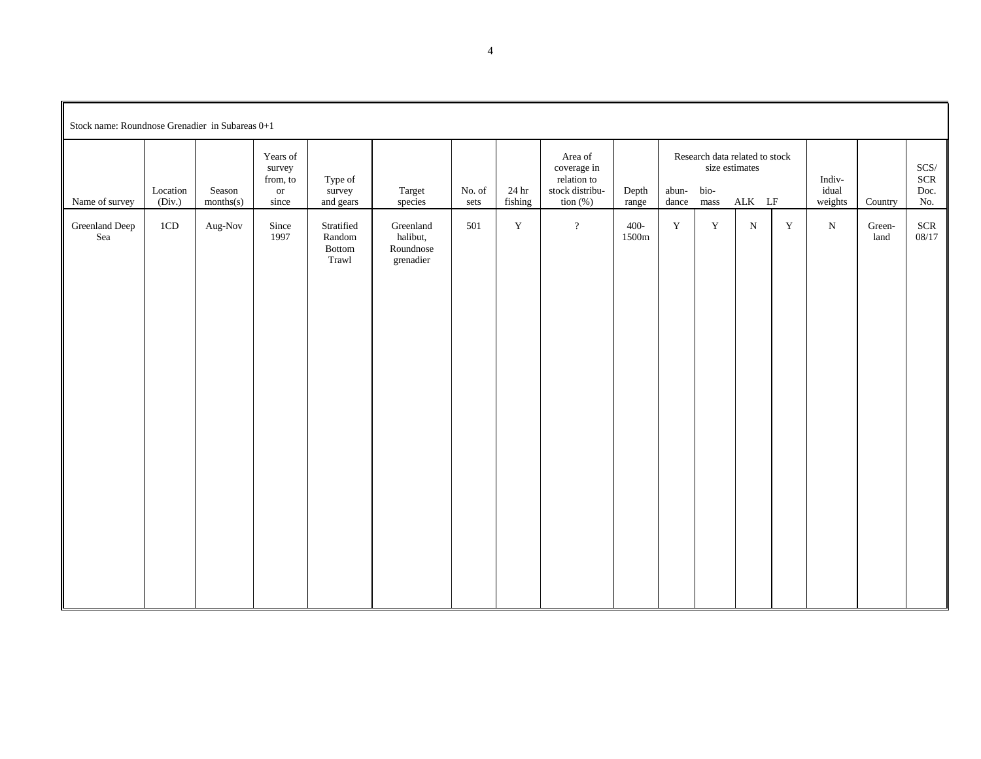| Stock name: Roundnose Grenadier in Subareas 0+1 |                    |                     |                                                    |                                                 |                                                 |                |                  |                                                                         |                |                |                                                                  |           |             |                            |                |                                |
|-------------------------------------------------|--------------------|---------------------|----------------------------------------------------|-------------------------------------------------|-------------------------------------------------|----------------|------------------|-------------------------------------------------------------------------|----------------|----------------|------------------------------------------------------------------|-----------|-------------|----------------------------|----------------|--------------------------------|
| Name of survey                                  | Location<br>(Div.) | Season<br>months(s) | Years of<br>survey<br>from, to<br>$\,$ or<br>since | Type of<br>survey<br>and gears                  | Target<br>species                               | No. of<br>sets | 24 hr<br>fishing | Area of<br>coverage in<br>relation to<br>stock distribu-<br>tion $(\%)$ | Depth<br>range | abun-<br>dance | Research data related to stock<br>size estimates<br>bio-<br>mass | ALK LF    |             | Indiv-<br>idual<br>weights | Country        | $SCS/$<br>$SCR$<br>Doc.<br>No. |
| Greenland Deep<br>Sea                           | 1CD                | Aug-Nov             | Since<br>1997                                      | Stratified<br>Random<br>$\quad$ Bottom<br>Trawl | Greenland<br>halibut,<br>Roundnose<br>grenadier | 501            | $\mathbf Y$      | $\overline{?}$                                                          | 400-<br>1500m  | $\mathbf Y$    | $\mathbf Y$                                                      | ${\bf N}$ | $\mathbf Y$ | ${\bf N}$                  | Green-<br>land | <b>SCR</b><br>08/17            |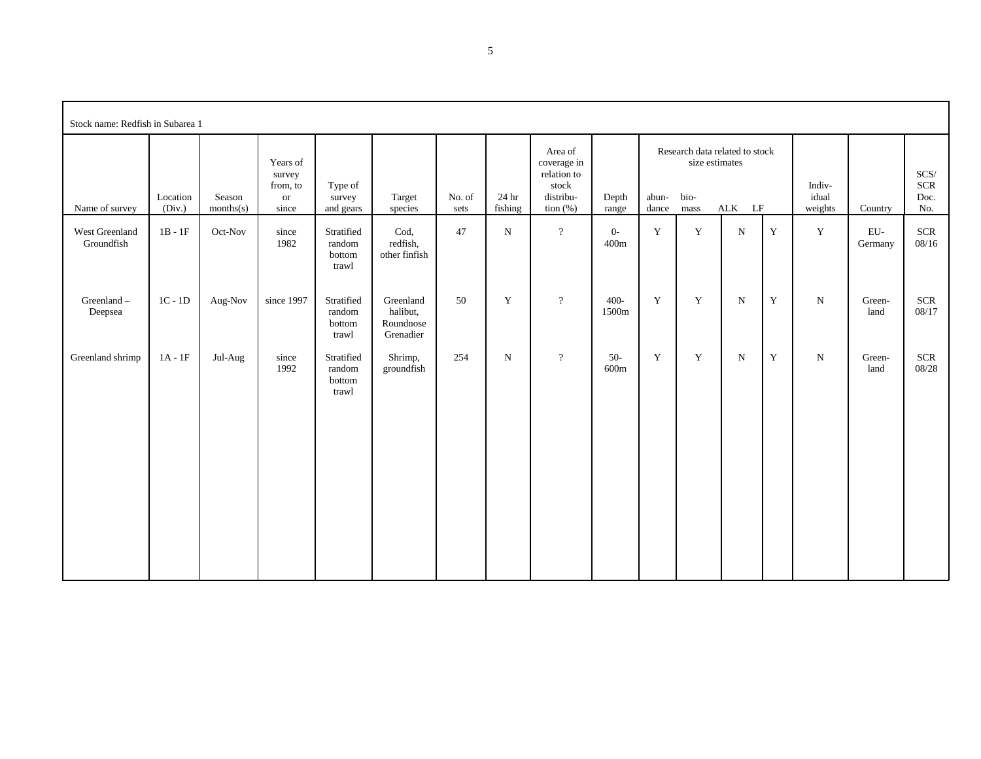| Stock name: Redfish in Subarea 1 |                    |                     |                                                      |                                         |                                                 |                |                  |                                                                            |                          |                |                                                                  |                           |             |                            |                         |                                   |
|----------------------------------|--------------------|---------------------|------------------------------------------------------|-----------------------------------------|-------------------------------------------------|----------------|------------------|----------------------------------------------------------------------------|--------------------------|----------------|------------------------------------------------------------------|---------------------------|-------------|----------------------------|-------------------------|-----------------------------------|
| Name of survey                   | Location<br>(Div.) | Season<br>months(s) | Years of<br>survey<br>from, to<br><b>or</b><br>since | Type of<br>survey<br>and gears          | Target<br>species                               | No. of<br>sets | 24 hr<br>fishing | Area of<br>coverage in<br>relation to<br>stock<br>distribu-<br>tion $(\%)$ | Depth<br>range           | abun-<br>dance | Research data related to stock<br>size estimates<br>bio-<br>mass | $\mathbf{ALK}$ $\quad$ LF |             | Indiv-<br>idual<br>weights | Country                 | SCS/<br><b>SCR</b><br>Doc.<br>No. |
| West Greenland<br>Groundfish     | $1B - 1F$          | Oct-Nov             | since<br>1982                                        | Stratified<br>random<br>bottom<br>trawl | Cod,<br>redfish,<br>other finfish               | 47             | $\mathbf N$      | $\overline{?}$                                                             | $0-$<br>400m             | $\mathbf Y$    | $\mathbf Y$                                                      | ${\bf N}$                 | $\mathbf Y$ | $\mathbf Y$                | ${\rm EU}$ -<br>Germany | $SCR$<br>08/16                    |
| Greenland-<br>Deepsea            | $1C - 1D$          | Aug-Nov             | since 1997                                           | Stratified<br>random<br>bottom<br>trawl | Greenland<br>halibut,<br>Roundnose<br>Grenadier | 50             | $\mathbf Y$      | $\, ?$                                                                     | $400 -$<br>1500m         | $\mathbf Y$    | $\mathbf Y$                                                      | $\mathbf N$               | $\mathbf Y$ | ${\rm N}$                  | Green-<br>land          | $SCR$<br>08/17                    |
| Greenland shrimp                 | $1A - 1F$          | Jul-Aug             | since<br>1992                                        | Stratified<br>random<br>bottom<br>trawl | Shrimp,<br>groundfish                           | 254            | $\mathbf N$      | $\overline{?}$                                                             | $50-$<br>$600\mathrm{m}$ | $\mathbf Y$    | Y                                                                | ${\bf N}$                 | $\mathbf Y$ | ${\bf N}$                  | Green-<br>land          | <b>SCR</b><br>08/28               |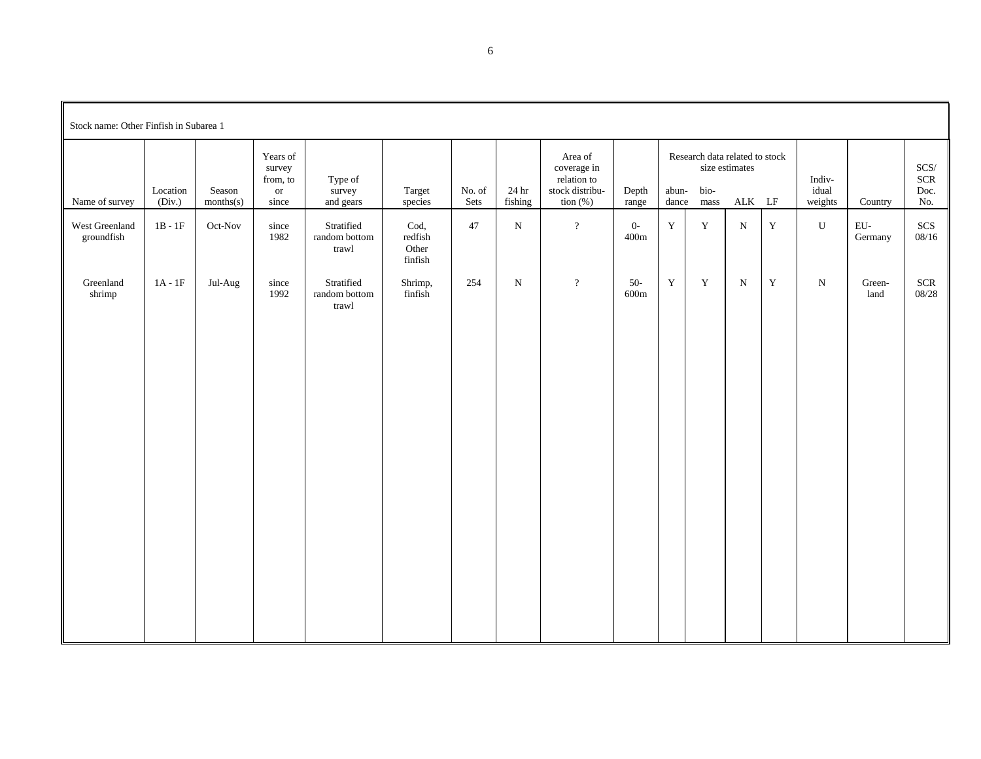| Stock name: Other Finfish in Subarea 1 |                               |                     |                                                      |                                                      |                                     |                |                  |                                                                         |                          |                |                                                |                                                |             |                            |                         |                                     |
|----------------------------------------|-------------------------------|---------------------|------------------------------------------------------|------------------------------------------------------|-------------------------------------|----------------|------------------|-------------------------------------------------------------------------|--------------------------|----------------|------------------------------------------------|------------------------------------------------|-------------|----------------------------|-------------------------|-------------------------------------|
| Name of survey                         | Location<br>(Div.)            | Season<br>months(s) | Years of<br>survey<br>from, to<br><b>or</b><br>since | Type of<br>survey<br>and gears                       | Target<br>species                   | No. of<br>Sets | 24 hr<br>fishing | Area of<br>coverage in<br>relation to<br>stock distribu-<br>tion $(\%)$ | Depth<br>range           | abun-<br>dance | Research data related to stock<br>bio-<br>mass | size estimates<br>$\mathbf{ALK}$ $\mathbf{LF}$ |             | Indiv-<br>idual<br>weights | Country                 | $SCS/$<br><b>SCR</b><br>Doc.<br>No. |
| West Greenland<br>groundfish           | $1\mathrm{B}$ - $1\mathrm{F}$ | Oct-Nov             | since<br>1982                                        | Stratified<br>random bottom<br>$\mbox{tr}\hbox{awl}$ | Cod,<br>redfish<br>Other<br>finfish | 47             | $\mathbf N$      | $\overline{?}$                                                          | $0-$<br>$400\mathrm{m}$  | $\mathbf Y$    | $\mathbf Y$                                    | ${\bf N}$                                      | $\mathbf Y$ | ${\bf U}$                  | ${\rm EU}$ -<br>Germany | $SCS$<br>08/16                      |
| Greenland<br>shrimp                    | $1A - 1F$                     | Jul-Aug             | since<br>1992                                        | Stratified<br>random bottom<br>trawl                 | Shrimp,<br>finfish                  | 254            | ${\bf N}$        | $\overline{?}$                                                          | $50-$<br>$600\mathrm{m}$ | $\mathbf Y$    | $\mathbf Y$                                    | ${\bf N}$                                      | $\mathbf Y$ | ${\bf N}$                  | Green-<br>land          | $SCR$<br>08/28                      |
|                                        |                               |                     |                                                      |                                                      |                                     |                |                  |                                                                         |                          |                |                                                |                                                |             |                            |                         |                                     |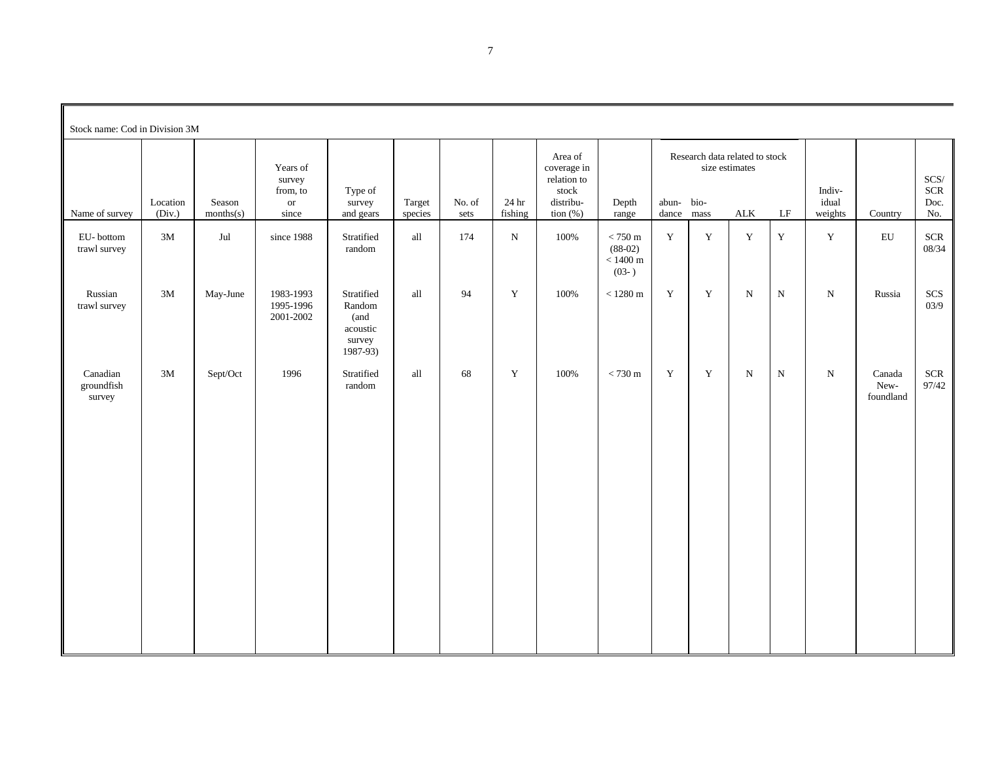| Stock name: Cod in Division 3M   |                    |                     |                                                            |                                                                |                      |                |                  |                                                                            |                                                                  |                |                                |                                               |             |                            |                                        |                              |
|----------------------------------|--------------------|---------------------|------------------------------------------------------------|----------------------------------------------------------------|----------------------|----------------|------------------|----------------------------------------------------------------------------|------------------------------------------------------------------|----------------|--------------------------------|-----------------------------------------------|-------------|----------------------------|----------------------------------------|------------------------------|
| Name of survey                   | Location<br>(Div.) | Season<br>months(s) | Years of<br>survey<br>from, to<br>$\,\mathrm{or}$<br>since | Type of<br>survey<br>and gears                                 | Target<br>species    | No. of<br>sets | 24 hr<br>fishing | Area of<br>coverage in<br>relation to<br>stock<br>distribu-<br>tion $(\%)$ | Depth<br>range                                                   | abun-<br>dance | size estimates<br>bio-<br>mass | Research data related to stock<br>${\rm ALK}$ | LF          | Indiv-<br>idual<br>weights | Country                                | SCS/<br>$SCR$<br>Doc.<br>No. |
| EU-bottom<br>trawl survey        | $3\mathrm{M}$      | $_{\rm{Jul}}$       | since 1988                                                 | Stratified<br>random                                           | $\operatorname{all}$ | 174            | ${\bf N}$        | 100%                                                                       | $< 750~\mathrm{m}$<br>$(88-02)$<br>$<1400~\mathrm{m}$<br>$(03-)$ | $\mathbf Y$    | $\mathbf Y$                    | $\mathbf Y$                                   | $\mathbf Y$ | $\mathbf Y$                | ${\rm EU}$                             | <b>SCR</b><br>08/34          |
| Russian<br>trawl survey          | $3\mathrm{M}$      | May-June            | 1983-1993<br>1995-1996<br>2001-2002                        | Stratified<br>Random<br>(and<br>acoustic<br>survey<br>1987-93) | all                  | 94             | $\mathbf Y$      | 100%                                                                       | $<1280~\mathrm{m}$                                               | $\mathbf Y$    | $\mathbf Y$                    | $\mathbf N$                                   | N           | ${\bf N}$                  | Russia                                 | SCS<br>03/9                  |
| Canadian<br>groundfish<br>survey | 3M                 | Sept/Oct            | 1996                                                       | Stratified<br>random                                           | all                  | 68             | $\mathbf Y$      | 100%                                                                       | $<730~\mathrm{m}$                                                | Y              | $\mathbf Y$                    | $\mathbf N$                                   | N           | ${\bf N}$                  | Canada<br>${\hbox{New-}}$<br>foundland | $SCR$<br>97/42               |

7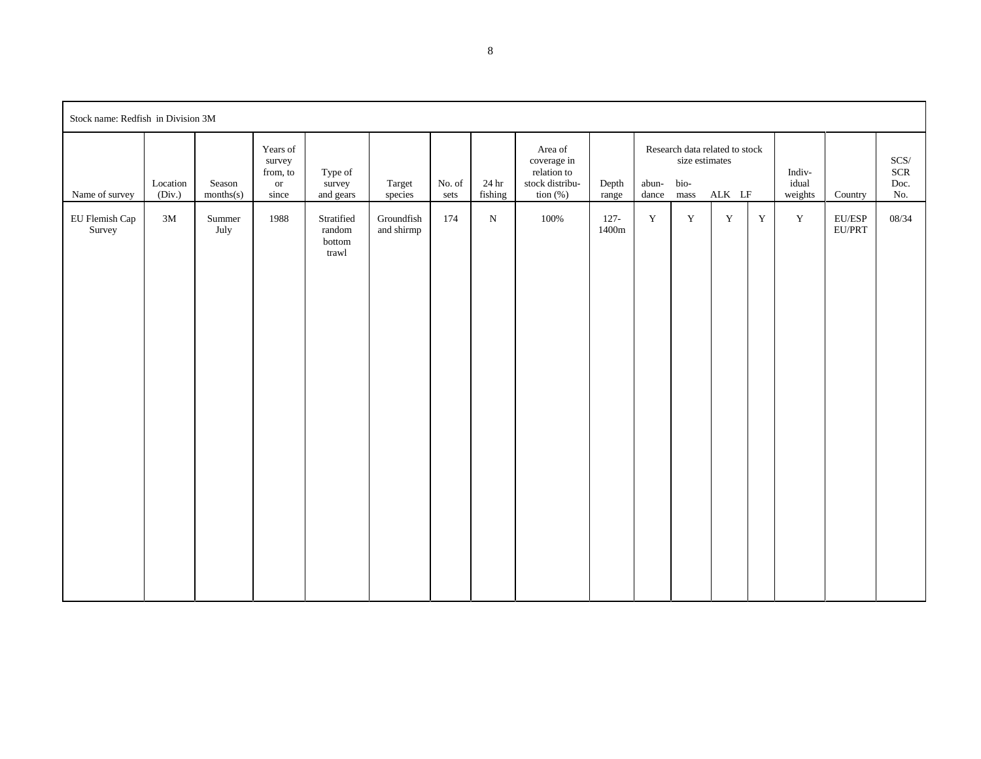| Stock name: Redfish in Division 3M |                    |                     |                                                      |                                                   |                          |                |                  |                                                                         |                  |                |                                                                           |             |             |                            |                        |                              |
|------------------------------------|--------------------|---------------------|------------------------------------------------------|---------------------------------------------------|--------------------------|----------------|------------------|-------------------------------------------------------------------------|------------------|----------------|---------------------------------------------------------------------------|-------------|-------------|----------------------------|------------------------|------------------------------|
| Name of survey                     | Location<br>(Div.) | Season<br>months(s) | Years of<br>survey<br>from, to<br><b>or</b><br>since | Type of<br>survey<br>and gears                    | Target<br>species        | No. of<br>sets | 24 hr<br>fishing | Area of<br>coverage in<br>relation to<br>stock distribu-<br>tion $(\%)$ | Depth<br>range   | abun-<br>dance | Research data related to stock<br>size estimates<br>bio-<br>$_{\rm mass}$ | ALK LF      |             | Indiv-<br>idual<br>weights | Country                | SCS/<br>$SCR$<br>Doc.<br>No. |
| EU Flemish Cap<br>Survey           | 3M                 | Summer<br>July      | 1988                                                 | Stratified<br>$\,$ random $\,$<br>bottom<br>trawl | Groundfish<br>and shirmp | 174            | ${\bf N}$        | 100%                                                                    | $127 -$<br>1400m | $\mathbf Y$    | $\mathbf Y$                                                               | $\mathbf Y$ | $\mathbf Y$ | $\mathbf Y$                | $\rm EU/ESP$<br>EU/PRT | 08/34                        |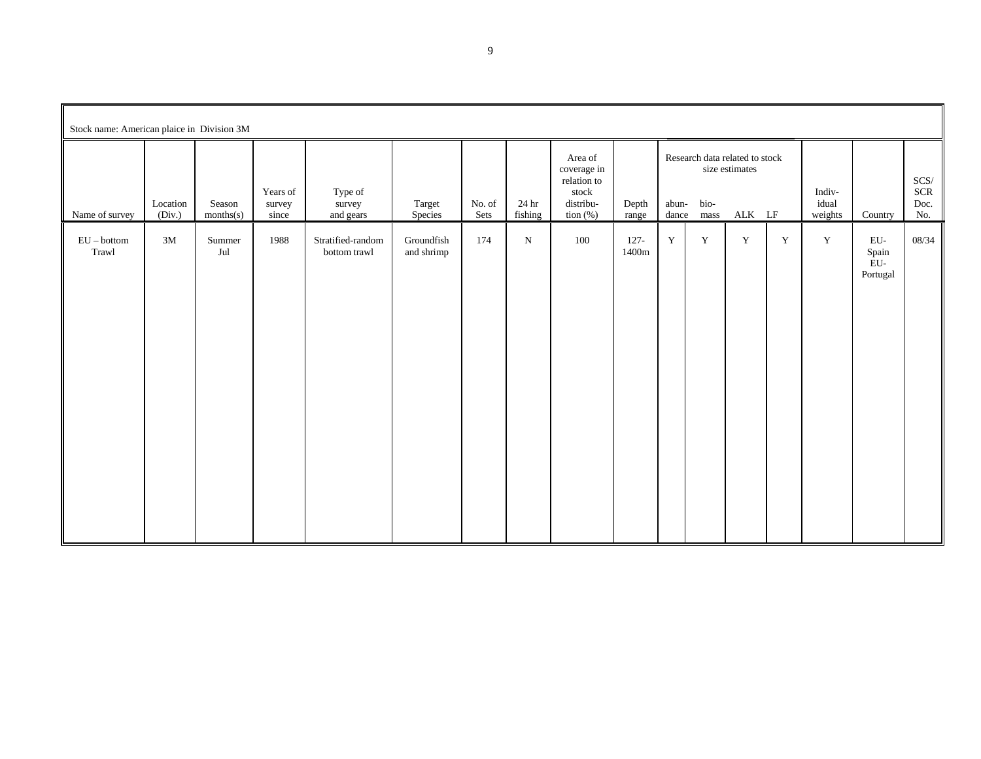| Stock name: American plaice in Division 3M |                    |                         |                             |                                   |                          |                |                  |                                                                            |                  |                |                                                |                          |             |                            |                                 |                              |
|--------------------------------------------|--------------------|-------------------------|-----------------------------|-----------------------------------|--------------------------|----------------|------------------|----------------------------------------------------------------------------|------------------|----------------|------------------------------------------------|--------------------------|-------------|----------------------------|---------------------------------|------------------------------|
| Name of survey                             | Location<br>(Div.) | Season<br>months(s)     | Years of<br>survey<br>since | Type of<br>survey<br>and gears    | Target<br>Species        | No. of<br>Sets | 24 hr<br>fishing | Area of<br>coverage in<br>relation to<br>stock<br>distribu-<br>tion $(\%)$ | Depth<br>range   | abun-<br>dance | Research data related to stock<br>bio-<br>mass | size estimates<br>ALK LF |             | Indiv-<br>idual<br>weights | Country                         | SCS/<br>$SCR$<br>Doc.<br>No. |
| $EU - bottom$<br>Trawl                     | 3M                 | Summer<br>$_{\rm{Jul}}$ | 1988                        | Stratified-random<br>bottom trawl | Groundfish<br>and shrimp | 174            | ${\bf N}$        | 100                                                                        | $127 -$<br>1400m | $\mathbf Y$    | $\mathbf Y$                                    | $\mathbf Y$              | $\mathbf Y$ | $\mathbf Y$                | EU-<br>Spain<br>EU-<br>Portugal | 08/34                        |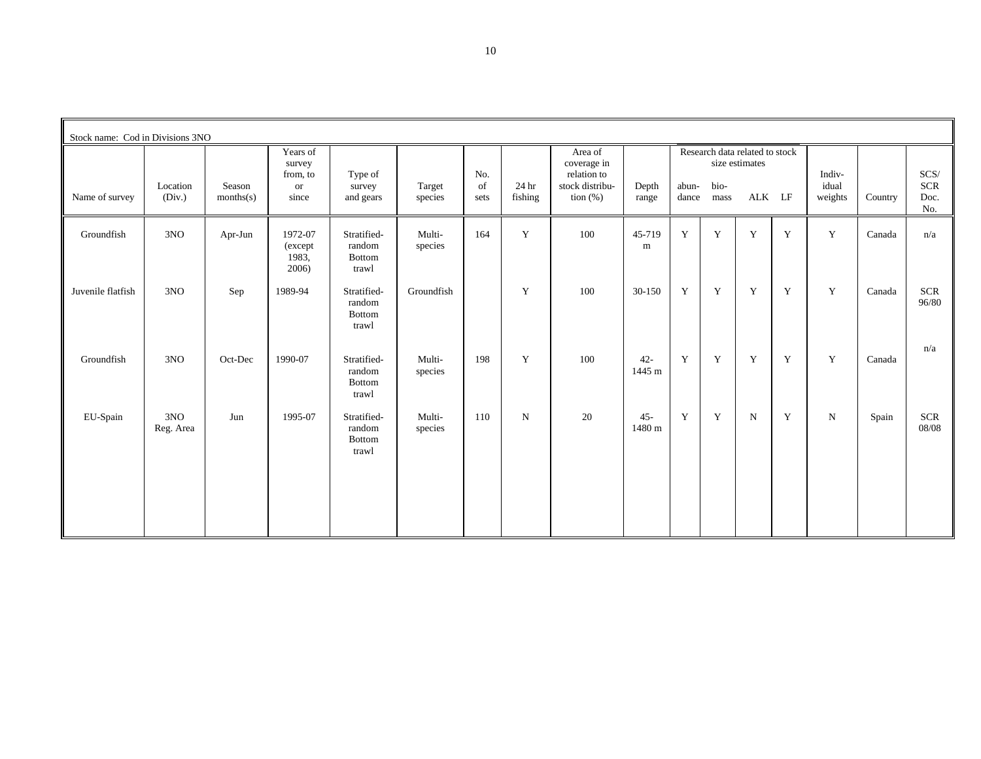| Stock name: Cod in Divisions 3NO |                    |                     |                                       |                                                 |                   |            |                  |                                       |                  |                |              |                                                  |   |                  |         |                           |
|----------------------------------|--------------------|---------------------|---------------------------------------|-------------------------------------------------|-------------------|------------|------------------|---------------------------------------|------------------|----------------|--------------|--------------------------------------------------|---|------------------|---------|---------------------------|
|                                  |                    |                     | Years of<br>survey<br>from, to        | Type of                                         |                   | No.        |                  | Area of<br>coverage in<br>relation to |                  |                |              | Research data related to stock<br>size estimates |   | Indiv-           |         | SCS/                      |
| Name of survey                   | Location<br>(Div.) | Season<br>months(s) | <b>or</b><br>since                    | survey<br>and gears                             | Target<br>species | of<br>sets | 24 hr<br>fishing | stock distribu-<br>tion $(\%)$        | Depth<br>range   | abun-<br>dance | bio-<br>mass | ALK LF                                           |   | idual<br>weights | Country | <b>SCR</b><br>Doc.<br>No. |
| Groundfish                       | 3NO                | Apr-Jun             | 1972-07<br>(except)<br>1983.<br>2006) | Stratified-<br>random<br><b>Bottom</b><br>trawl | Multi-<br>species | 164        | Y                | 100                                   | 45-719<br>m      | Y              | $\mathbf Y$  | Y                                                | Y | $\mathbf Y$      | Canada  | n/a                       |
| Juvenile flatfish                | 3NO                | Sep                 | 1989-94                               | Stratified-<br>random<br><b>Bottom</b><br>trawl | Groundfish        |            | Y                | 100                                   | 30-150           | Y              | Y            | Y                                                | Y | Y                | Canada  | <b>SCR</b><br>96/80       |
| Groundfish                       | 3NO                | Oct-Dec             | 1990-07                               | Stratified-<br>random<br><b>Bottom</b><br>trawl | Multi-<br>species | 198        | Y                | 100                                   | $42 -$<br>1445 m | Y              | Y            | Y                                                | Y | Y                | Canada  | n/a                       |
| EU-Spain                         | 3NO<br>Reg. Area   | Jun                 | 1995-07                               | Stratified-<br>random<br>Bottom<br>trawl        | Multi-<br>species | 110        | $\mathbf N$      | 20                                    | $45 -$<br>1480 m | Y              | Y            | $\mathbf N$                                      | Y | $\mathbf N$      | Spain   | <b>SCR</b><br>08/08       |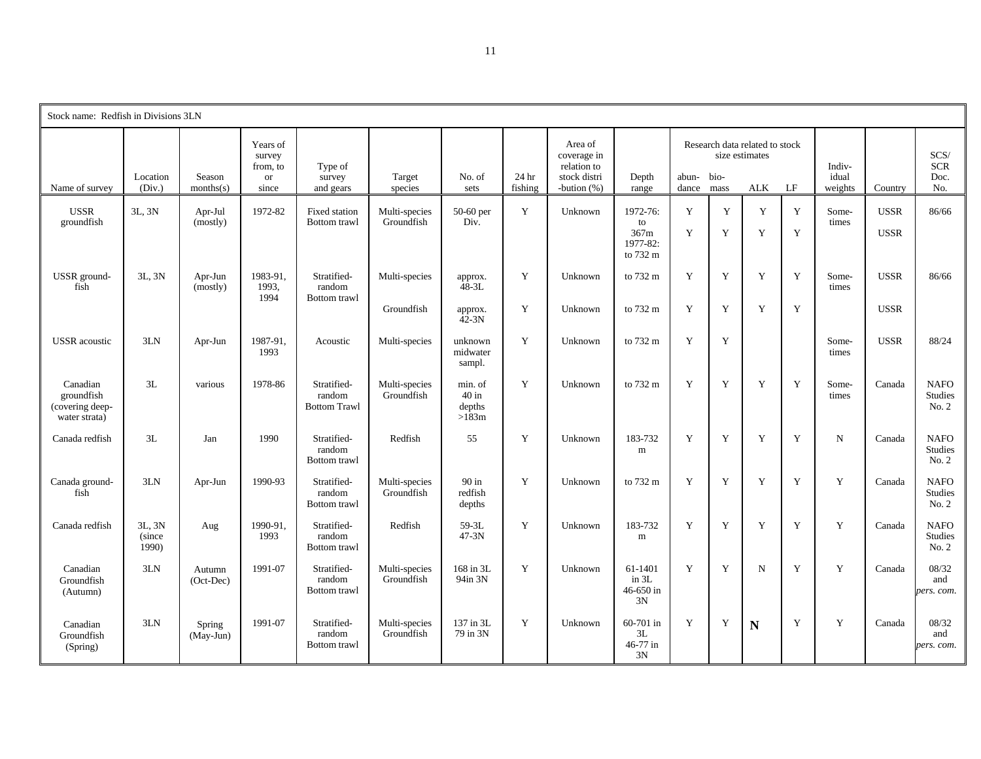| Stock name: Redfish in Divisions 3LN                       |                           |                       |                                                      |                                              |                             |                                       |                             |                                                                        |                                                |                     |        |                                                         |             |                            |                            |                                        |
|------------------------------------------------------------|---------------------------|-----------------------|------------------------------------------------------|----------------------------------------------|-----------------------------|---------------------------------------|-----------------------------|------------------------------------------------------------------------|------------------------------------------------|---------------------|--------|---------------------------------------------------------|-------------|----------------------------|----------------------------|----------------------------------------|
| Name of survey                                             | Location<br>(Div.)        | Season<br>months(s)   | Years of<br>survey<br>from, to<br><b>or</b><br>since | Type of<br>survey<br>and gears               | Target<br>species           | No. of<br>sets                        | 24 <sub>hr</sub><br>fishing | Area of<br>coverage in<br>relation to<br>stock distri<br>-bution $(%)$ | Depth<br>range                                 | abun- bio-<br>dance | mass   | Research data related to stock<br>size estimates<br>ALK | LF          | Indiv-<br>idual<br>weights | Country                    | SCS/<br><b>SCR</b><br>Doc.<br>No.      |
| <b>USSR</b><br>groundfish                                  | 3L, 3N                    | Apr-Jul<br>(mostly)   | 1972-82                                              | <b>Fixed station</b><br>Bottom trawl         | Multi-species<br>Groundfish | 50-60 per<br>Div.                     | Y                           | Unknown                                                                | 1972-76:<br>to<br>367m<br>1977-82:<br>to 732 m | Y<br>Y              | Y<br>Y | Y<br>Y                                                  | Y<br>Y      | Some-<br>times             | <b>USSR</b><br><b>USSR</b> | 86/66                                  |
| USSR ground-<br>fish                                       | 3L, 3N                    | Apr-Jun<br>(mostly)   | 1983-91.<br>1993,<br>1994                            | Stratified-<br>random<br>Bottom trawl        | Multi-species               | approx.<br>$48 - 3L$                  | Y                           | Unknown                                                                | to 732 m                                       | Y                   | Y      | Y                                                       | Y           | Some-<br>times             | <b>USSR</b>                | 86/66                                  |
|                                                            |                           |                       |                                                      |                                              | Groundfish                  | approx.<br>$42 - 3N$                  | Y                           | Unknown                                                                | to 732 m                                       | Y                   | Y      | Y                                                       | Y           |                            | <b>USSR</b>                |                                        |
| <b>USSR</b> acoustic                                       | 3LN                       | Apr-Jun               | 1987-91,<br>1993                                     | Acoustic                                     | Multi-species               | unknown<br>midwater<br>sampl.         | Y                           | Unknown                                                                | to 732 m                                       | Y                   | Y      |                                                         |             | Some-<br>times             | <b>USSR</b>                | 88/24                                  |
| Canadian<br>groundfish<br>(covering deep-<br>water strata) | 3L                        | various               | 1978-86                                              | Stratified-<br>random<br><b>Bottom Trawl</b> | Multi-species<br>Groundfish | min. of<br>$40$ in<br>depths<br>>183m | Y                           | Unknown                                                                | to 732 m                                       | Y                   | Y      | Y                                                       | Y           | Some-<br>times             | Canada                     | <b>NAFO</b><br><b>Studies</b><br>No. 2 |
| Canada redfish                                             | 3L                        | Jan                   | 1990                                                 | Stratified-<br>random<br>Bottom trawl        | Redfish                     | 55                                    | Y                           | Unknown                                                                | 183-732<br>m                                   | Y                   | Y      | Y                                                       | Y           | N                          | Canada                     | <b>NAFO</b><br><b>Studies</b><br>No. 2 |
| Canada ground-<br>fish                                     | 3LN                       | Apr-Jun               | 1990-93                                              | Stratified-<br>random<br>Bottom trawl        | Multi-species<br>Groundfish | $90$ in<br>redfish<br>depths          | Y                           | Unknown                                                                | to 732 m                                       | Y                   | Y      | Y                                                       | Y           | Y                          | Canada                     | <b>NAFO</b><br><b>Studies</b><br>No. 2 |
| Canada redfish                                             | 3L, 3N<br>(since<br>1990) | Aug                   | 1990-91.<br>1993                                     | Stratified-<br>random<br>Bottom trawl        | Redfish                     | 59-3L<br>$47-3N$                      | Y                           | Unknown                                                                | 183-732<br>m                                   | Y                   | Y      | Y                                                       | Y           | Y                          | Canada                     | <b>NAFO</b><br><b>Studies</b><br>No. 2 |
| Canadian<br>Groundfish<br>(Autumn)                         | 3LN                       | Autumn<br>$(Oct-Dec)$ | 1991-07                                              | Stratified-<br>random<br>Bottom trawl        | Multi-species<br>Groundfish | 168 in 3L<br>94in 3N                  | Y                           | Unknown                                                                | 61-1401<br>in 3L<br>$46 - 650$ in<br>3N        | Y                   | Y      | $\mathbf N$                                             | Y           | Y                          | Canada                     | 08/32<br>and<br>pers. com.             |
| Canadian<br>Groundfish<br>(Spring)                         | 3LN                       | Spring<br>(May-Jun)   | 1991-07                                              | Stratified-<br>random<br>Bottom trawl        | Multi-species<br>Groundfish | 137 in 3L<br>79 in 3N                 | Y                           | Unknown                                                                | 60-701 in<br>3L<br>46-77 in<br>3N              | Y                   | Y      | N                                                       | $\mathbf Y$ | Y                          | Canada                     | 08/32<br>and<br>pers. com.             |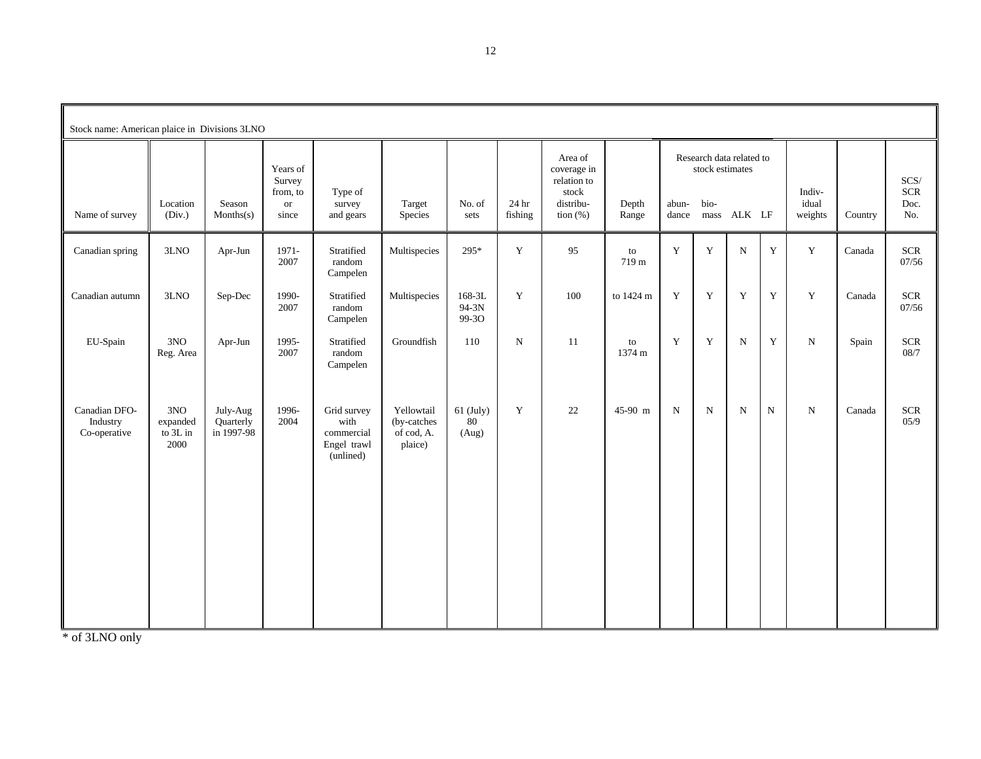| Stock name: American plaice in Divisions 3LNO |                                     |                                     |                                                      |                                                               |                                                    |                            |                  |                                                                            |                |                |                         |                                         |             |                            |         |                              |
|-----------------------------------------------|-------------------------------------|-------------------------------------|------------------------------------------------------|---------------------------------------------------------------|----------------------------------------------------|----------------------------|------------------|----------------------------------------------------------------------------|----------------|----------------|-------------------------|-----------------------------------------|-------------|----------------------------|---------|------------------------------|
| Name of survey                                | Location<br>(Div.)                  | Season<br>Monthly(s)                | Years of<br>Survey<br>from, to<br><b>or</b><br>since | Type of<br>survey<br>and gears                                | Target<br>Species                                  | No. of<br>sets             | 24 hr<br>fishing | Area of<br>coverage in<br>relation to<br>stock<br>distribu-<br>tion $(\%)$ | Depth<br>Range | abun-<br>dance | stock estimates<br>bio- | Research data related to<br>mass ALK LF |             | Indiv-<br>idual<br>weights | Country | SCS/<br>$SCR$<br>Doc.<br>No. |
| Canadian spring                               | 3LNO                                | Apr-Jun                             | 1971-<br>2007                                        | Stratified<br>random<br>Campelen                              | Multispecies                                       | 295*                       | $\mathbf Y$      | 95                                                                         | to<br>719 m    | $\mathbf Y$    | $\mathbf Y$             | ${\bf N}$                               | $\mathbf Y$ | $\mathbf Y$                | Canada  | $SCR$<br>07/56               |
| Canadian autumn                               | 3LNO                                | Sep-Dec                             | 1990-<br>2007                                        | Stratified<br>random<br>Campelen                              | Multispecies                                       | 168-3L<br>94-3N<br>99-30   | Y                | 100                                                                        | to 1424 m      | Y              | Y                       | Y                                       | Y           | Y                          | Canada  | <b>SCR</b><br>07/56          |
| EU-Spain                                      | 3NO<br>Reg. Area                    | Apr-Jun                             | 1995-<br>2007                                        | Stratified<br>random<br>Campelen                              | Groundfish                                         | 110                        | N                | <sup>11</sup>                                                              | to<br>1374 m   | $\mathbf Y$    | $\mathbf Y$             | ${\bf N}$                               | $\mathbf Y$ | ${\bf N}$                  | Spain   | $SCR$<br>$08/7$              |
| Canadian DFO-<br>Industry<br>Co-operative     | 3NO<br>expanded<br>to 3L in<br>2000 | July-Aug<br>Quarterly<br>in 1997-98 | 1996-<br>2004                                        | Grid survey<br>with<br>commercial<br>Engel trawl<br>(unlined) | Yellowtail<br>(by-catches<br>of cod, A.<br>plaice) | $61$ (July)<br>80<br>(Aug) | Y                | 22                                                                         | 45-90 m        | ${\bf N}$      | $\mathbf N$             | ${\bf N}$                               | $\mathbf N$ | $\mathbf N$                | Canada  | $SCR$<br>05/9                |

\* of 3LNO only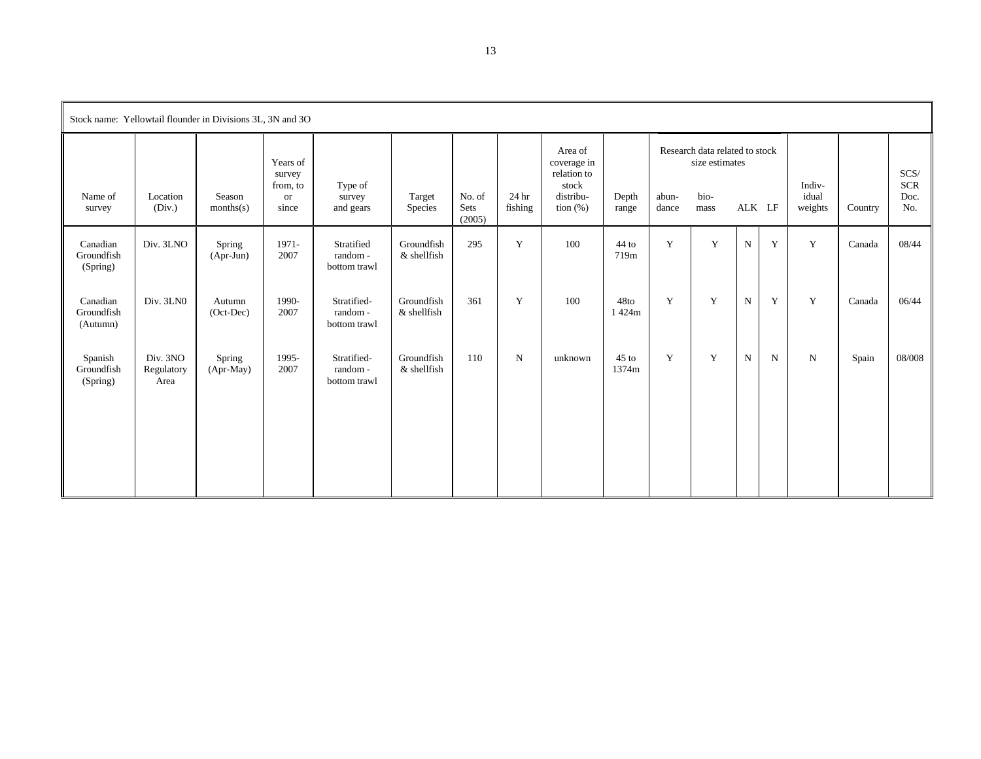| Stock name: Yellowtail flounder in Divisions 3L, 3N and 3O |                                |                       |                                                      |                                         |                             |                          |                  |                                                                             |                  |                |                                                                  |             |   |                            |         |                              |
|------------------------------------------------------------|--------------------------------|-----------------------|------------------------------------------------------|-----------------------------------------|-----------------------------|--------------------------|------------------|-----------------------------------------------------------------------------|------------------|----------------|------------------------------------------------------------------|-------------|---|----------------------------|---------|------------------------------|
| Name of<br>survey                                          | Location<br>(Div.)             | Season<br>months(s)   | Years of<br>survey<br>from, to<br><b>or</b><br>since | Type of<br>survey<br>and gears          | Target<br>Species           | No. of<br>Sets<br>(2005) | 24 hr<br>fishing | Area of<br>coverage in<br>relation to<br>stock<br>distribu-<br>tion $(\% )$ | Depth<br>range   | abun-<br>dance | Research data related to stock<br>size estimates<br>bio-<br>mass | ALK LF      |   | Indiv-<br>idual<br>weights | Country | SCS/<br>$SCR$<br>Doc.<br>No. |
| Canadian<br>Groundfish<br>(Spring)                         | Div. 3LNO                      | Spring<br>$(Apr-Jun)$ | 1971-<br>2007                                        | Stratified<br>random-<br>bottom trawl   | Groundfish<br>$&$ shellfish | 295                      | Y                | 100                                                                         | $44$ to<br>719m  | Y              | Y                                                                | ${\bf N}$   | Y | Y                          | Canada  | 08/44                        |
| Canadian<br>Groundfish<br>(Autumn)                         | Div. 3LN0                      | Autumn<br>(Oct-Dec)   | 1990-<br>2007                                        | Stratified-<br>random-<br>bottom trawl  | Groundfish<br>& shellfish   | 361                      | Y                | 100                                                                         | 48to<br>1424m    | Y              | Y                                                                | $\mathbf N$ | Y | $\mathbf Y$                | Canada  | 06/44                        |
| Spanish<br>Groundfish<br>(Spring)                          | Div. 3NO<br>Regulatory<br>Area | Spring<br>$(Apr-May)$ | 1995-<br>2007                                        | Stratified-<br>random -<br>bottom trawl | Groundfish<br>& shellfish   | 110                      | $\mathbf N$      | unknown                                                                     | $45$ to<br>1374m | Y              | Y                                                                | $\mathbf N$ | N | $\mathbf N$                | Spain   | 08/008                       |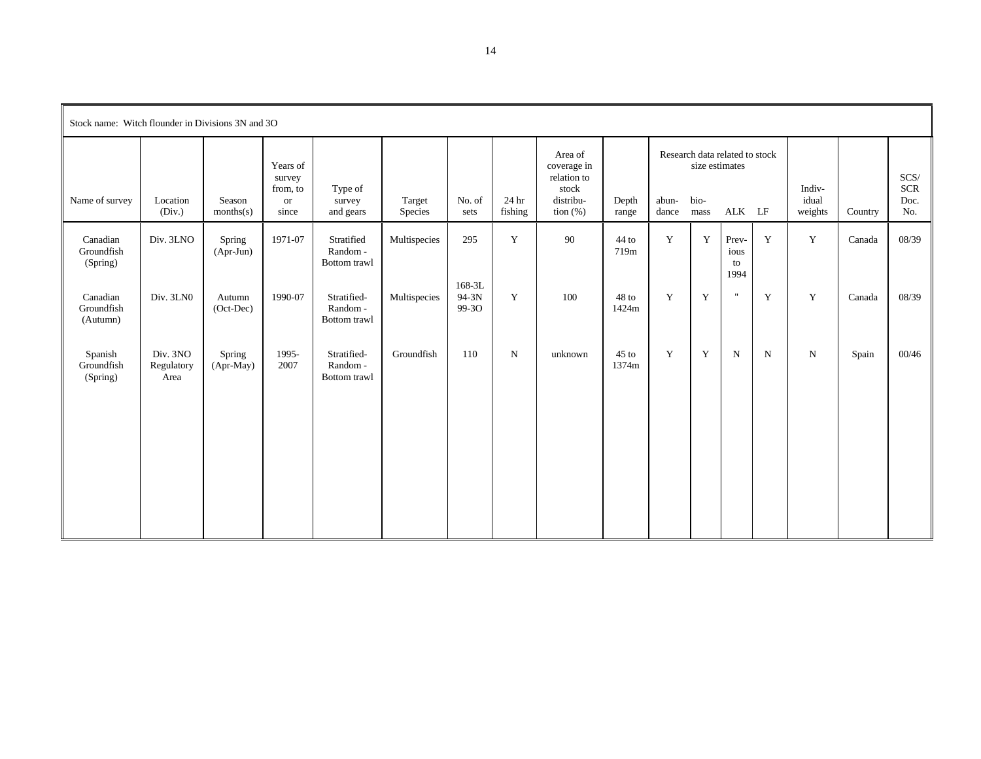| Stock name: Witch flounder in Divisions 3N and 3O |                                |                       |                                                    |                                        |                   |                              |                  |                                                                            |                  |                |                                |                                          |             |                            |         |                                   |
|---------------------------------------------------|--------------------------------|-----------------------|----------------------------------------------------|----------------------------------------|-------------------|------------------------------|------------------|----------------------------------------------------------------------------|------------------|----------------|--------------------------------|------------------------------------------|-------------|----------------------------|---------|-----------------------------------|
| Name of survey                                    | Location<br>(Div.)             | Season<br>months(s)   | Years of<br>survey<br>from, to<br>$\,$ or<br>since | Type of<br>survey<br>and gears         | Target<br>Species | No. of<br>sets               | 24 hr<br>fishing | Area of<br>coverage in<br>relation to<br>stock<br>distribu-<br>tion $(\%)$ | Depth<br>range   | abun-<br>dance | size estimates<br>bio-<br>mass | Research data related to stock<br>ALK LF |             | Indiv-<br>idual<br>weights | Country | SCS/<br><b>SCR</b><br>Doc.<br>No. |
| Canadian<br>Groundfish<br>(Spring)                | Div. 3LNO                      | Spring<br>$(Apr-Jun)$ | 1971-07                                            | Stratified<br>Random -<br>Bottom trawl | Multispecies      | 295                          | $\mathbf Y$      | 90                                                                         | 44 to<br>719m    | $\mathbf Y$    | $\mathbf Y$                    | Prev-<br>ious<br>to<br>1994              | Y           | $\mathbf Y$                | Canada  | 08/39                             |
| Canadian<br>Groundfish<br>(Autumn)                | Div. 3LN0                      | Autumn<br>(Oct-Dec)   | 1990-07                                            | Stratified-<br>Random-<br>Bottom trawl | Multispecies      | $168 - 3L$<br>94-3N<br>99-30 | Y                | 100                                                                        | 48 to<br>1424m   | Y              | Y                              | $\mathbf{H}$                             | Y           | Y                          | Canada  | 08/39                             |
| Spanish<br>Groundfish<br>(Spring)                 | Div. 3NO<br>Regulatory<br>Area | Spring<br>(Apr-May)   | 1995-<br>2007                                      | Stratified-<br>Random-<br>Bottom trawl | Groundfish        | 110                          | $\mathbf N$      | unknown                                                                    | $45$ to<br>1374m | Y              | Y                              | $\mathbf N$                              | $\mathbf N$ | ${\rm N}$                  | Spain   | 00/46                             |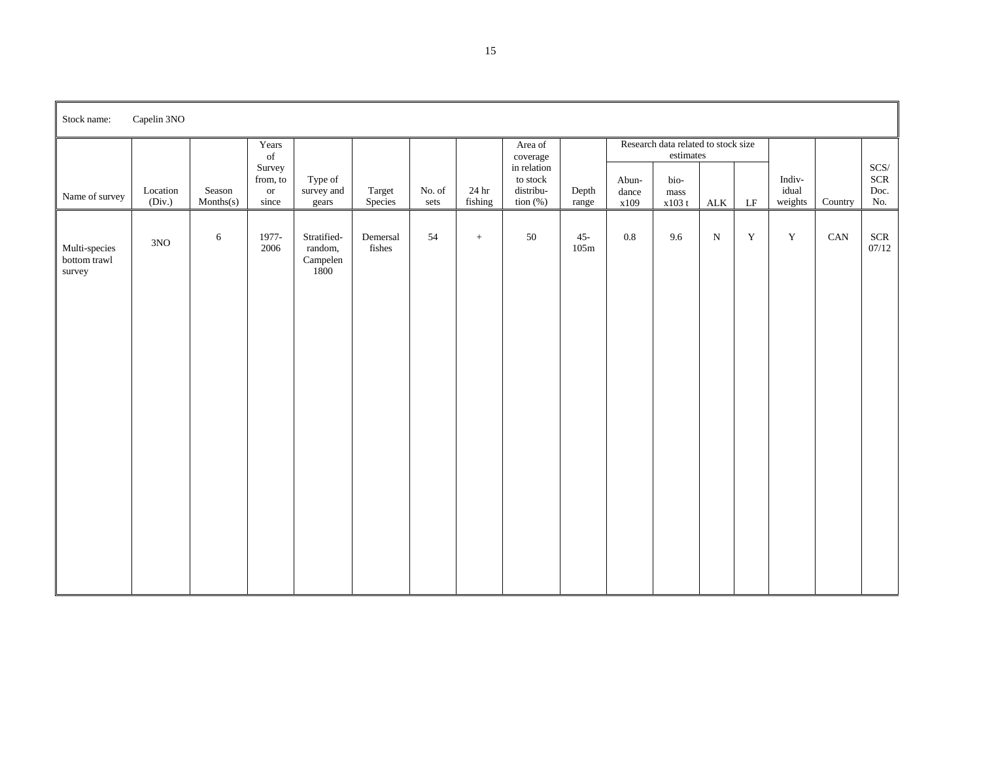| Stock name:                             | Capelin 3NO        |                      |                                        |                                            |                    |                |                  |                                                     |                |                        |                                                      |              |             |                            |         |                                |
|-----------------------------------------|--------------------|----------------------|----------------------------------------|--------------------------------------------|--------------------|----------------|------------------|-----------------------------------------------------|----------------|------------------------|------------------------------------------------------|--------------|-------------|----------------------------|---------|--------------------------------|
|                                         |                    |                      | Years<br>of                            |                                            |                    |                |                  | Area of<br>coverage                                 |                |                        | Research data related to stock size<br>$estimates\,$ |              |             |                            |         |                                |
| Name of survey                          | Location<br>(Div.) | Season<br>Monthly(s) | Survey<br>from, to<br>$\,$ or<br>since | Type of<br>survey and<br>gears             | Target<br>Species  | No. of<br>sets | 24 hr<br>fishing | in relation<br>to stock<br>distribu-<br>tion $(\%)$ | Depth<br>range | Abun-<br>dance<br>x109 | bio-<br>mass<br>x103 t                               | $\mbox{ALK}$ | $\rm LF$    | Indiv-<br>idual<br>weights | Country | $SCS/$<br>$SCR$<br>Doc.<br>No. |
| Multi-species<br>bottom trawl<br>survey | $3NO$              | $\sqrt{6}$           | 1977-<br>2006                          | Stratified-<br>random,<br>Campelen<br>1800 | Demersal<br>fishes | 54             | $+$              | 50                                                  | $45 -$<br>105m | $\rm 0.8$              | 9.6                                                  | $\mathbf N$  | $\mathbf Y$ | $\mathbf Y$                | CAN     | $SCR$<br>07/12                 |
|                                         |                    |                      |                                        |                                            |                    |                |                  |                                                     |                |                        |                                                      |              |             |                            |         |                                |
|                                         |                    |                      |                                        |                                            |                    |                |                  |                                                     |                |                        |                                                      |              |             |                            |         |                                |
|                                         |                    |                      |                                        |                                            |                    |                |                  |                                                     |                |                        |                                                      |              |             |                            |         |                                |
|                                         |                    |                      |                                        |                                            |                    |                |                  |                                                     |                |                        |                                                      |              |             |                            |         |                                |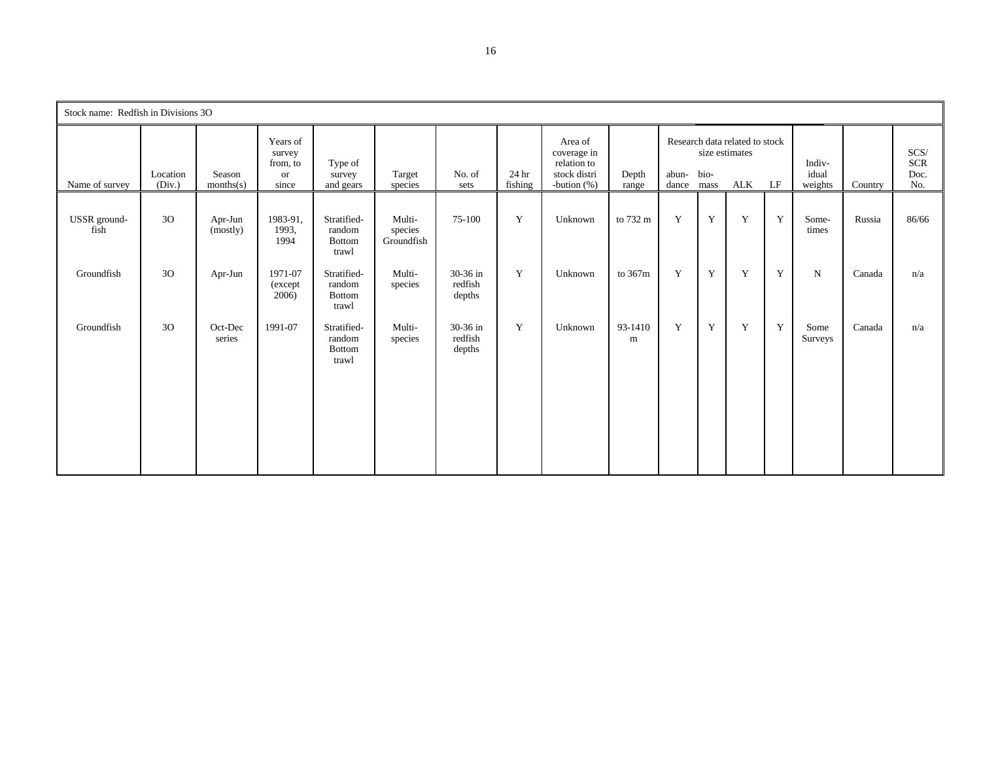| Stock name: Redfish in Divisions 3O |                    |                     |                                                          |                                          |                                 |                               |                  |                                                                         |                |                          |   |                                                         |    |                            |         |                                   |
|-------------------------------------|--------------------|---------------------|----------------------------------------------------------|------------------------------------------|---------------------------------|-------------------------------|------------------|-------------------------------------------------------------------------|----------------|--------------------------|---|---------------------------------------------------------|----|----------------------------|---------|-----------------------------------|
| Name of survey                      | Location<br>(Div.) | Season<br>months(s) | Years of<br>survey<br>from, to<br><sub>or</sub><br>since | Type of<br>survey<br>and gears           | Target<br>species               | No. of<br>sets                | 24 hr<br>fishing | Area of<br>coverage in<br>relation to<br>stock distri<br>-bution $(\%)$ | Depth<br>range | abun- bio-<br>dance mass |   | Research data related to stock<br>size estimates<br>ALK | LF | Indiv-<br>idual<br>weights | Country | SCS/<br><b>SCR</b><br>Doc.<br>No. |
| USSR ground-<br>fish                | 30                 | Apr-Jun<br>(mostly) | 1983-91,<br>1993,<br>1994                                | Stratified-<br>random<br>Bottom<br>trawl | Multi-<br>species<br>Groundfish | 75-100                        | Y                | Unknown                                                                 | to 732 m       | Y                        | Y | Y                                                       | Y  | Some-<br>times             | Russia  | 86/66                             |
| Groundfish                          | 3O                 | Apr-Jun             | 1971-07<br>(except<br>2006)                              | Stratified-<br>random<br>Bottom<br>trawl | Multi-<br>species               | 30-36 in<br>redfish<br>depths | Y                | Unknown                                                                 | to 367m        | Y                        | Y | Y                                                       | Y  | $\mathbf N$                | Canada  | n/a                               |
| Groundfish                          | 30                 | Oct-Dec<br>series   | 1991-07                                                  | Stratified-<br>random<br>Bottom<br>trawl | Multi-<br>species               | 30-36 in<br>redfish<br>depths | Y                | Unknown                                                                 | 93-1410<br>m   | Y                        | Y | Y                                                       | Y  | Some<br>Surveys            | Canada  | n/a                               |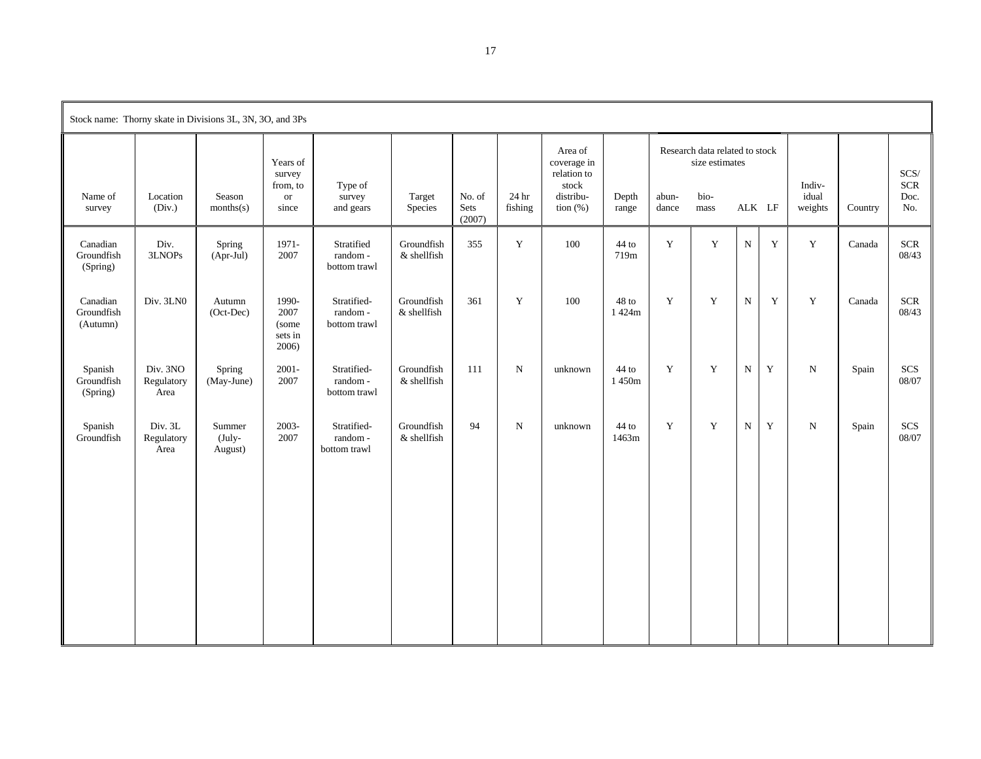|                                    |                                | Stock name: Thorny skate in Divisions 3L, 3N, 3O, and 3Ps |                                                      |                                        |                           |                          |                  |                                                                            |                  |                |                                                                  |             |             |                            |         |                                   |
|------------------------------------|--------------------------------|-----------------------------------------------------------|------------------------------------------------------|----------------------------------------|---------------------------|--------------------------|------------------|----------------------------------------------------------------------------|------------------|----------------|------------------------------------------------------------------|-------------|-------------|----------------------------|---------|-----------------------------------|
| Name of<br>survey                  | Location<br>(Div.)             | Season<br>months(s)                                       | Years of<br>survey<br>from, to<br><b>or</b><br>since | Type of<br>survey<br>and gears         | Target<br>Species         | No. of<br>Sets<br>(2007) | 24 hr<br>fishing | Area of<br>coverage in<br>relation to<br>stock<br>distribu-<br>tion $(\%)$ | Depth<br>range   | abun-<br>dance | Research data related to stock<br>size estimates<br>bio-<br>mass | ALK LF      |             | Indiv-<br>idual<br>weights | Country | SCS/<br><b>SCR</b><br>Doc.<br>No. |
| Canadian<br>Groundfish<br>(Spring) | Div.<br>3LNOPs                 | Spring<br>(Apr-Jul)                                       | 1971-<br>2007                                        | Stratified<br>random-<br>bottom trawl  | Groundfish<br>& shellfish | 355                      | Y                | 100                                                                        | 44 to<br>719m    | Y              | $\mathbf Y$                                                      | ${\bf N}$   | Y           | $\mathbf Y$                | Canada  | <b>SCR</b><br>08/43               |
| Canadian<br>Groundfish<br>(Autumn) | Div. 3LN0                      | Autumn<br>(Oct-Dec)                                       | 1990-<br>2007<br>(some<br>sets in<br>2006)           | Stratified-<br>random-<br>bottom trawl | Groundfish<br>& shellfish | 361                      | Y                | 100                                                                        | 48 to<br>1 424m  | Y              | $\mathbf Y$                                                      | $\mathbf N$ | Y           | $\mathbf Y$                | Canada  | <b>SCR</b><br>08/43               |
| Spanish<br>Groundfish<br>(Spring)  | Div. 3NO<br>Regulatory<br>Area | Spring<br>(May-June)                                      | $2001 -$<br>2007                                     | Stratified-<br>random-<br>bottom trawl | Groundfish<br>& shellfish | 111                      | ${\bf N}$        | unknown                                                                    | 44 to<br>1450m   | $\mathbf Y$    | $\mathbf Y$                                                      | ${\bf N}$   | $\mathbf Y$ | ${\bf N}$                  | Spain   | $SCS$<br>08/07                    |
| Spanish<br>Groundfish              | Div. 3L<br>Regulatory<br>Area  | Summer<br>$(July-$<br>August)                             | 2003-<br>2007                                        | Stratified-<br>random-<br>bottom trawl | Groundfish<br>& shellfish | 94                       | ${\bf N}$        | unknown                                                                    | $44$ to<br>1463m | Y              | $\mathbf Y$                                                      | ${\bf N}$   | $\mathbf Y$ | $\mathbf N$                | Spain   | SCS<br>08/07                      |

17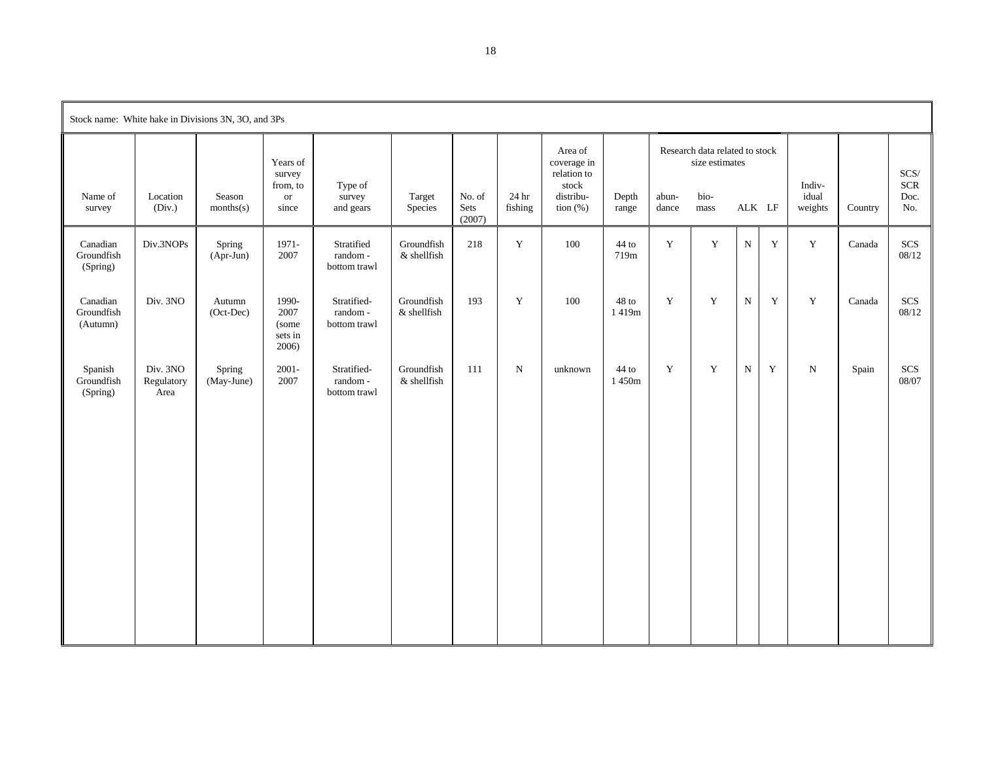|                                    |                                | Stock name: White hake in Divisions 3N, 3O, and 3Ps |                                                    |                                        |                              |                          |                  |                                                                            |                |                |                                                                  |             |             |                            |         |                                   |
|------------------------------------|--------------------------------|-----------------------------------------------------|----------------------------------------------------|----------------------------------------|------------------------------|--------------------------|------------------|----------------------------------------------------------------------------|----------------|----------------|------------------------------------------------------------------|-------------|-------------|----------------------------|---------|-----------------------------------|
| Name of<br>survey                  | Location<br>(Div.)             | Season<br>months(s)                                 | Years of<br>survey<br>from, to<br>$\,$ or<br>since | Type of<br>survey<br>and gears         | Target<br>Species            | No. of<br>Sets<br>(2007) | 24 hr<br>fishing | Area of<br>coverage in<br>relation to<br>stock<br>distribu-<br>tion $(\%)$ | Depth<br>range | abun-<br>dance | Research data related to stock<br>size estimates<br>bio-<br>mass | ALK LF      |             | Indiv-<br>idual<br>weights | Country | SCS/<br><b>SCR</b><br>Doc.<br>No. |
| Canadian<br>Groundfish<br>(Spring) | Div.3NOPs                      | Spring<br>$(Apr-Jun)$                               | 1971-<br>2007                                      | Stratified<br>random-<br>bottom trawl  | Groundfish<br>& shellfish    | 218                      | $\mathbf Y$      | 100                                                                        | 44 to<br>719m  | $\mathbf Y$    | $\mathbf Y$                                                      | ${\bf N}$   | $\mathbf Y$ | $\mathbf Y$                | Canada  | SCS<br>08/12                      |
| Canadian<br>Groundfish<br>(Autumn) | Div. 3NO                       | Autumn<br>(Oct-Dec)                                 | 1990-<br>2007<br>(some<br>sets in<br>2006)         | Stratified-<br>random-<br>bottom trawl | Groundfish<br>$\&$ shellfish | 193                      | Y                | 100                                                                        | 48 to<br>1419m | Y              | $\mathbf Y$                                                      | $\mathbf N$ | Y           | $\mathbf Y$                | Canada  | $SCS$<br>08/12                    |
| Spanish<br>Groundfish<br>(Spring)  | Div. 3NO<br>Regulatory<br>Area | Spring<br>(May-June)                                | $2001 -$<br>2007                                   | Stratified-<br>random-<br>bottom trawl | Groundfish<br>& shellfish    | 111                      | ${\bf N}$        | unknown                                                                    | 44 to<br>1450m | $\mathbf Y$    | $\mathbf Y$                                                      | ${\bf N}$   | $\mathbf Y$ | $\mathbf N$                | Spain   | $SCS$<br>08/07                    |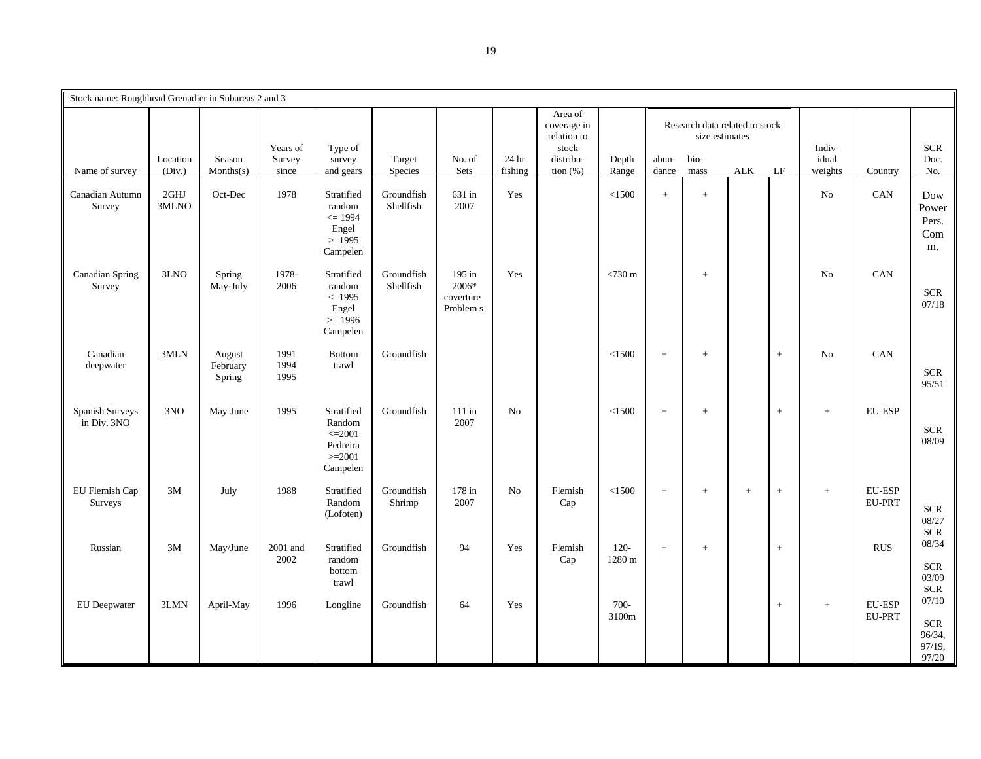| Stock name: Roughhead Grenadier in Subareas 2 and 3 |                    |                              |                             |                                                                         |                         |                                           |                  |                                                                            |                   |                |                                                                  |            |        |                            |                                |                                                  |
|-----------------------------------------------------|--------------------|------------------------------|-----------------------------|-------------------------------------------------------------------------|-------------------------|-------------------------------------------|------------------|----------------------------------------------------------------------------|-------------------|----------------|------------------------------------------------------------------|------------|--------|----------------------------|--------------------------------|--------------------------------------------------|
| Name of survey                                      | Location<br>(Div.) | Season<br>Monthly(s)         | Years of<br>Survey<br>since | Type of<br>survey<br>and gears                                          | Target<br>Species       | No. of<br>Sets                            | 24 hr<br>fishing | Area of<br>coverage in<br>relation to<br>stock<br>distribu-<br>tion $(\%)$ | Depth<br>Range    | abun-<br>dance | Research data related to stock<br>size estimates<br>bio-<br>mass | <b>ALK</b> | LF     | Indiv-<br>idual<br>weights | Country                        | <b>SCR</b><br>Doc.<br>No.                        |
| Canadian Autumn<br>Survey                           | 2GHJ<br>3MLNO      | Oct-Dec                      | 1978                        | Stratified<br>random<br>$\leq$ 1994<br>Engel<br>$>=1995$<br>Campelen    | Groundfish<br>Shellfish | 631 in<br>2007                            | Yes              |                                                                            | < 1500            | $\pm$          | $+$                                                              |            |        | No                         | CAN                            | Dow<br>Power<br>Pers.<br>Com<br>m.               |
| <b>Canadian Spring</b><br>Survey                    | 3LNO               | Spring<br>May-July           | 1978-<br>2006               | Stratified<br>random<br>$\leq$ 1995<br>Engel<br>$>= 1996$<br>Campelen   | Groundfish<br>Shellfish | 195 in<br>2006*<br>coverture<br>Problem s | Yes              |                                                                            | $<730$ m          |                |                                                                  |            |        | N <sub>0</sub>             | CAN                            | $SCR$<br>07/18                                   |
| Canadian<br>deepwater                               | 3MLN               | August<br>February<br>Spring | 1991<br>1994<br>1995        | <b>Bottom</b><br>trawl                                                  | Groundfish              |                                           |                  |                                                                            | < 1500            | $\! +$         | $\ddot{}$                                                        |            | $\, +$ | No                         | CAN                            | <b>SCR</b><br>95/51                              |
| Spanish Surveys<br>in Div. 3NO                      | 3NO                | May-June                     | 1995                        | Stratified<br>Random<br>$\leq$ 2001<br>Pedreira<br>$>=2001$<br>Campelen | Groundfish              | $111$ in<br>2007                          | N <sub>0</sub>   |                                                                            | < 1500            | $\, +$         | $+$                                                              |            | $+$    | $+$                        | <b>EU-ESP</b>                  | $SCR$<br>08/09                                   |
| EU Flemish Cap<br>Surveys                           | 3M                 | July                         | 1988                        | Stratified<br>Random<br>(Lofoten)                                       | Groundfish<br>Shrimp    | 178 in<br>2007                            | N <sub>0</sub>   | Flemish<br>Cap                                                             | < 1500            | $\, +$         | $\! +$                                                           | $+$        | $\! +$ | $\qquad \qquad +$          | <b>EU-ESP</b><br>EU-PRT        | $SCR$<br>08/27<br><b>SCR</b>                     |
| Russian                                             | 3M                 | May/June                     | 2001 and<br>2002            | Stratified<br>random<br>bottom<br>trawl                                 | Groundfish              | 94                                        | Yes              | Flemish<br>Cap                                                             | $120 -$<br>1280 m | $+$            | $+$                                                              |            | $+$    |                            | <b>RUS</b>                     | 08/34<br><b>SCR</b><br>03/09<br><b>SCR</b>       |
| EU Deepwater                                        | 3LMN               | April-May                    | 1996                        | Longline                                                                | Groundfish              | 64                                        | Yes              |                                                                            | $700 -$<br>3100m  |                |                                                                  |            | $\, +$ | $+$                        | <b>EU-ESP</b><br><b>EU-PRT</b> | 07/10<br><b>SCR</b><br>96/34,<br>97/19,<br>97/20 |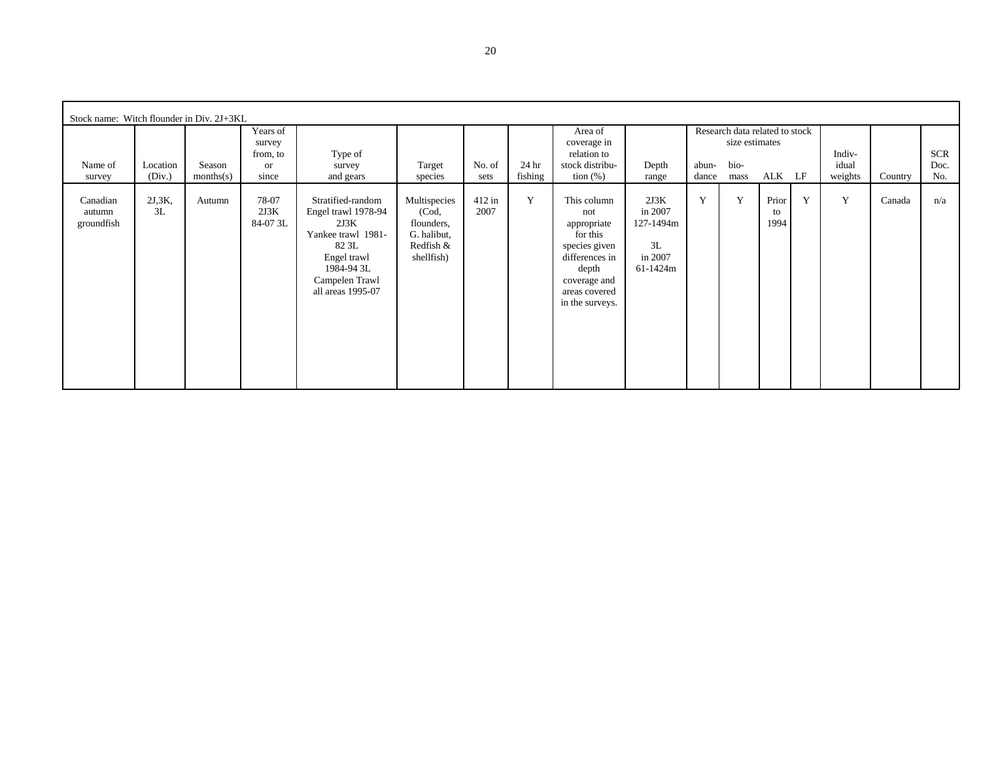| Stock name: Witch flounder in Div. 2J+3KL |             |           |                           |                                                                                                                                                     |                                                                               |                  |         |                                                                                                                                               |                                                           |       |                                |                     |   |         |         |            |
|-------------------------------------------|-------------|-----------|---------------------------|-----------------------------------------------------------------------------------------------------------------------------------------------------|-------------------------------------------------------------------------------|------------------|---------|-----------------------------------------------------------------------------------------------------------------------------------------------|-----------------------------------------------------------|-------|--------------------------------|---------------------|---|---------|---------|------------|
|                                           |             |           | Years of                  |                                                                                                                                                     |                                                                               |                  |         | Area of                                                                                                                                       |                                                           |       | Research data related to stock |                     |   |         |         |            |
|                                           |             |           | survey                    |                                                                                                                                                     |                                                                               |                  |         | coverage in                                                                                                                                   |                                                           |       | size estimates                 |                     |   |         |         |            |
|                                           |             |           | from, to                  | Type of                                                                                                                                             |                                                                               |                  |         | relation to                                                                                                                                   |                                                           |       |                                |                     |   | Indiv-  |         | <b>SCR</b> |
| Name of                                   | Location    | Season    | <sub>or</sub>             | survey                                                                                                                                              | Target                                                                        | No. of           | 24 hr   | stock distribu-                                                                                                                               | Depth                                                     | abun- | bio-                           |                     |   | idual   |         | Doc.       |
| survey                                    | (Div.)      | months(s) | since                     | and gears                                                                                                                                           | species                                                                       | sets             | fishing | tion $(\%)$                                                                                                                                   | range                                                     | dance | mass                           | ALK LF              |   | weights | Country | No.        |
| Canadian<br>autumn<br>groundfish          | 2J,3K<br>3L | Autumn    | 78-07<br>2J3K<br>84-07 3L | Stratified-random<br>Engel trawl 1978-94<br>2J3K<br>Yankee trawl 1981-<br>82 3L<br>Engel trawl<br>1984-94 3L<br>Campelen Trawl<br>all areas 1995-07 | Multispecies<br>(Cod,<br>flounders,<br>G. halibut,<br>Redfish &<br>shellfish) | $412$ in<br>2007 | Y       | This column<br>not<br>appropriate<br>for this<br>species given<br>differences in<br>depth<br>coverage and<br>areas covered<br>in the surveys. | 2J3K<br>in 2007<br>127-1494m<br>3L<br>in 2007<br>61-1424m | Y     | Y                              | Prior<br>to<br>1994 | Y | Y       | Canada  | n/a        |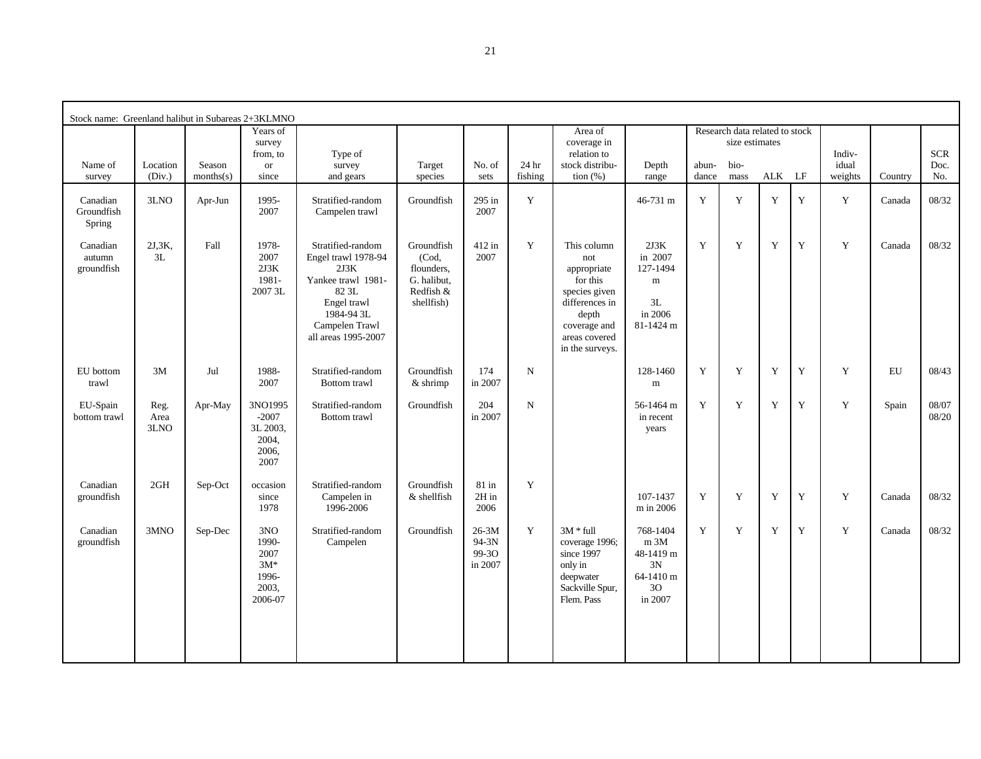| Stock name: Greenland halibut in Subareas 2+3KLMNO |                      |                     |                                                            |                                                                                                                                                       |                                                                             |                                      |                  |                                                                                                                                               |                                                                        |                |                                                  |        |             |                  |         |                |
|----------------------------------------------------|----------------------|---------------------|------------------------------------------------------------|-------------------------------------------------------------------------------------------------------------------------------------------------------|-----------------------------------------------------------------------------|--------------------------------------|------------------|-----------------------------------------------------------------------------------------------------------------------------------------------|------------------------------------------------------------------------|----------------|--------------------------------------------------|--------|-------------|------------------|---------|----------------|
|                                                    |                      |                     | Years of<br>survey<br>from, to                             | Type of                                                                                                                                               |                                                                             |                                      |                  | Area of<br>coverage in<br>relation to                                                                                                         |                                                                        |                | Research data related to stock<br>size estimates |        |             | Indiv-           |         | <b>SCR</b>     |
| Name of<br>survey                                  | Location<br>(Div.)   | Season<br>months(s) | <b>or</b><br>since                                         | survey<br>and gears                                                                                                                                   | Target<br>species                                                           | No. of<br>sets                       | 24 hr<br>fishing | stock distribu-<br>tion $(\%)$                                                                                                                | Depth<br>range                                                         | abun-<br>dance | bio-<br>mass                                     | ALK LF |             | idual<br>weights | Country | Doc.<br>No.    |
| Canadian<br>Groundfish<br>Spring                   | 3LNO                 | Apr-Jun             | 1995-<br>2007                                              | Stratified-random<br>Campelen trawl                                                                                                                   | Groundfish                                                                  | 295 in<br>2007                       | Y                |                                                                                                                                               | 46-731 m                                                               | Y              | $\mathbf Y$                                      | Y      | $\mathbf Y$ | Y                | Canada  | 08/32          |
| Canadian<br>autumn<br>groundfish                   | 2J,3K,<br>3L         | Fall                | 1978-<br>2007<br>2J3K<br>1981-<br>2007 3L                  | Stratified-random<br>Engel trawl 1978-94<br>2J3K<br>Yankee trawl 1981-<br>82 3L<br>Engel trawl<br>1984-94 3L<br>Campelen Trawl<br>all areas 1995-2007 | Groundfish<br>(Cod,<br>flounders.<br>G. halibut,<br>Redfish &<br>shellfish) | 412 in<br>2007                       | Y                | This column<br>not<br>appropriate<br>for this<br>species given<br>differences in<br>depth<br>coverage and<br>areas covered<br>in the surveys. | 2J3K<br>in 2007<br>127-1494<br>${\bf m}$<br>3L<br>in 2006<br>81-1424 m | Y              | $\mathbf Y$                                      | Y      | $\mathbf Y$ | $\mathbf Y$      | Canada  | 08/32          |
| EU bottom<br>trawl                                 | 3M                   | Jul                 | 1988-<br>2007                                              | Stratified-random<br>Bottom trawl                                                                                                                     | Groundfish<br>$&$ shrimp                                                    | 174<br>in 2007                       | N                |                                                                                                                                               | 128-1460<br>m                                                          | Y              | Y                                                | Y      | Y           | Y                | EU      | 08/43          |
| EU-Spain<br>bottom trawl                           | Reg.<br>Area<br>3LNO | Apr-May             | 3NO1995<br>$-2007$<br>3L 2003,<br>2004,<br>2006,<br>2007   | Stratified-random<br>Bottom trawl                                                                                                                     | Groundfish                                                                  | 204<br>in 2007                       | N                |                                                                                                                                               | 56-1464 m<br>in recent<br>years                                        | Y              | Y                                                | Y      | Y           | Y                | Spain   | 08/07<br>08/20 |
| Canadian<br>groundfish                             | 2GH                  | Sep-Oct             | occasion<br>since<br>1978                                  | Stratified-random<br>Campelen in<br>1996-2006                                                                                                         | Groundfish<br>& shellfish                                                   | $81$ in<br>2H in<br>2006             | Y                |                                                                                                                                               | 107-1437<br>m in 2006                                                  | Y              | Y                                                | Y      | Y           | Y                | Canada  | 08/32          |
| Canadian<br>groundfish                             | 3MNO                 | Sep-Dec             | 3NO<br>1990-<br>2007<br>$3M*$<br>1996-<br>2003,<br>2006-07 | Stratified-random<br>Campelen                                                                                                                         | Groundfish                                                                  | $26-3M$<br>94-3N<br>99-30<br>in 2007 | Y                | $3M * full$<br>coverage 1996;<br>since 1997<br>only in<br>deepwater<br>Sackville Spur,<br>Flem. Pass                                          | 768-1404<br>m 3M<br>48-1419 m<br>3N<br>64-1410 m<br>30<br>in 2007      | Y              | $\mathbf Y$                                      | Y      | $\mathbf Y$ | Y                | Canada  | 08/32          |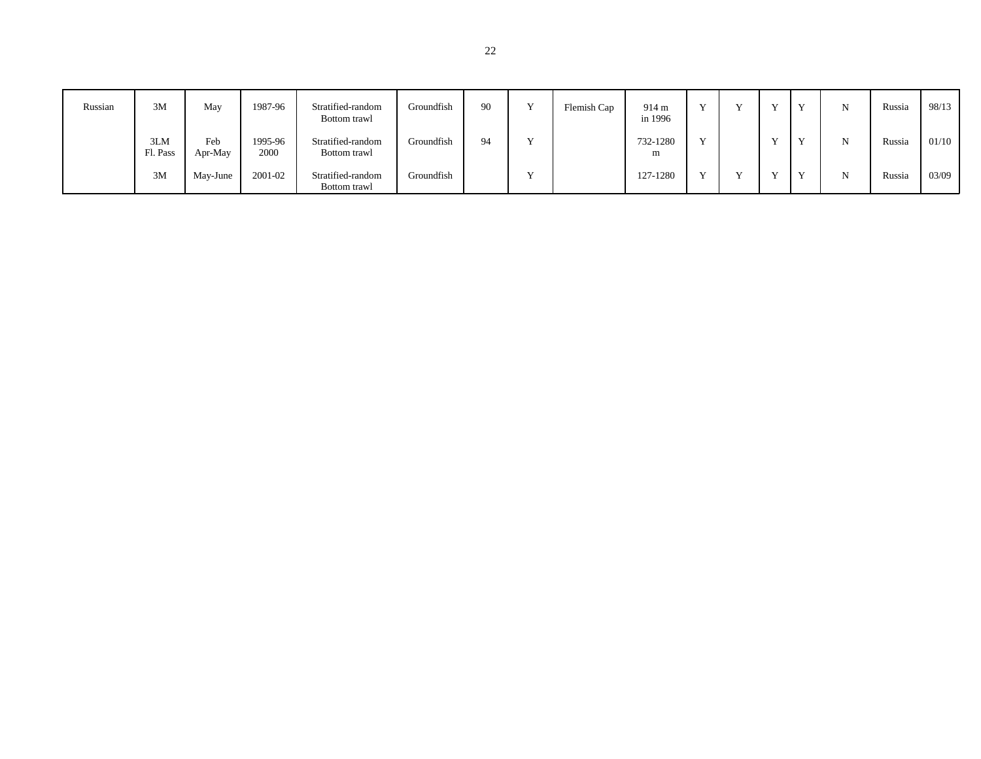| Russian | 3M              | May            | 1987-96         | Stratified-random<br>Bottom trawl | Groundfish | -90 | $\mathbf{v}$ | Flemish Cap | 914 m<br>in 1996 |              |  | $\mathbf{x}$ | Russia | 98/13 |
|---------|-----------------|----------------|-----------------|-----------------------------------|------------|-----|--------------|-------------|------------------|--------------|--|--------------|--------|-------|
|         | 3LM<br>Fl. Pass | Feb<br>Apr-May | 1995-96<br>2000 | Stratified-random<br>Bottom trawl | Groundfish | 94  |              |             | 732-1280<br>m    | $\mathbf{v}$ |  | $\mathbf{v}$ | Russia | 01/10 |
|         | 3M              | May-June       | 2001-02         | Stratified-random<br>Bottom trawl | Groundfish |     | $\mathbf{v}$ |             | 127-1280         |              |  | $\mathbf{v}$ | Russia | 03/09 |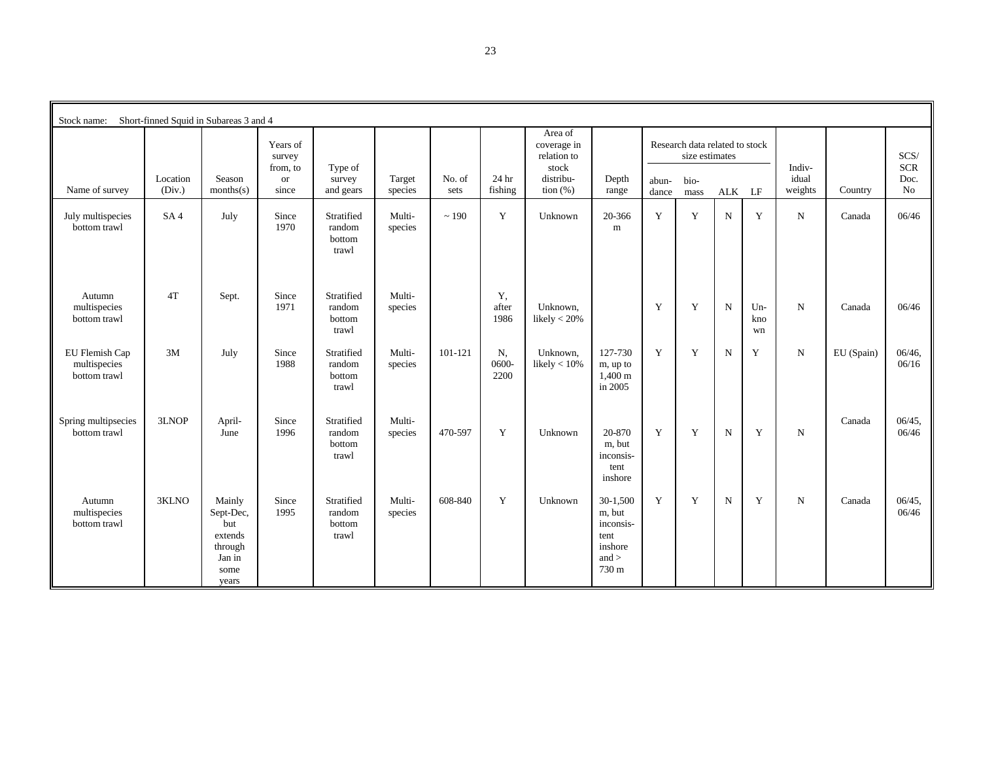| Stock name:                                    |                    | Short-finned Squid in Subareas 3 and 4                                      |                                               |                                         |                   |                |                     |                                                                            |                                                                          |                |                                                                  |             |                    |                            |            |                                  |
|------------------------------------------------|--------------------|-----------------------------------------------------------------------------|-----------------------------------------------|-----------------------------------------|-------------------|----------------|---------------------|----------------------------------------------------------------------------|--------------------------------------------------------------------------|----------------|------------------------------------------------------------------|-------------|--------------------|----------------------------|------------|----------------------------------|
| Name of survey                                 | Location<br>(Div.) | Season<br>months(s)                                                         | Years of<br>survey<br>from, to<br>or<br>since | Type of<br>survey<br>and gears          | Target<br>species | No. of<br>sets | 24 hr<br>fishing    | Area of<br>coverage in<br>relation to<br>stock<br>distribu-<br>tion $(\%)$ | Depth<br>range                                                           | abun-<br>dance | Research data related to stock<br>size estimates<br>bio-<br>mass | ALK LF      |                    | Indiv-<br>idual<br>weights | Country    | SCS/<br><b>SCR</b><br>Doc.<br>No |
| July multispecies<br>bottom trawl              | SA <sub>4</sub>    | July                                                                        | Since<br>1970                                 | Stratified<br>random<br>bottom<br>trawl | Multi-<br>species | ~190           | Y                   | Unknown                                                                    | 20-366<br>m                                                              | $\mathbf Y$    | Y                                                                | $\mathbf N$ | Y                  | $\mathbf N$                | Canada     | 06/46                            |
| Autumn<br>multispecies<br>bottom trawl         | 4T                 | Sept.                                                                       | Since<br>1971                                 | Stratified<br>random<br>bottom<br>trawl | Multi-<br>species |                | Y.<br>after<br>1986 | Unknown.<br>likely $< 20\%$                                                |                                                                          | Y              | Y                                                                | $\mathbf N$ | $Un-$<br>kno<br>wn | $\mathbf N$                | Canada     | 06/46                            |
| EU Flemish Cap<br>multispecies<br>bottom trawl | 3M                 | July                                                                        | Since<br>1988                                 | Stratified<br>random<br>bottom<br>trawl | Multi-<br>species | $101 - 121$    | N,<br>0600-<br>2200 | Unknown,<br>likely $< 10\%$                                                | 127-730<br>m, up to<br>$1,400 \;{\rm m}$<br>in 2005                      | Y              | Y                                                                | $\mathbf N$ | Y                  | $\mathbf N$                | EU (Spain) | $06/46$ ,<br>06/16               |
| Spring multipsecies<br>bottom trawl            | 3LNOP              | April-<br>June                                                              | Since<br>1996                                 | Stratified<br>random<br>bottom<br>trawl | Multi-<br>species | 470-597        | Y                   | Unknown                                                                    | 20-870<br>m, but<br>inconsis-<br>tent<br>inshore                         | Y              | Y                                                                | $\mathbf N$ | Y                  | $\mathbf N$                | Canada     | 06/45<br>06/46                   |
| Autumn<br>multispecies<br>bottom trawl         | 3KLNO              | Mainly<br>Sept-Dec,<br>but<br>extends<br>through<br>Jan in<br>some<br>years | Since<br>1995                                 | Stratified<br>random<br>bottom<br>trawl | Multi-<br>species | 608-840        | Y                   | Unknown                                                                    | $30-1,500$<br>m, but<br>inconsis-<br>tent<br>inshore<br>and $>$<br>730 m | Y              | Y                                                                | $\mathbf N$ | Y                  | $\mathbf N$                | Canada     | $06/45$ ,<br>06/46               |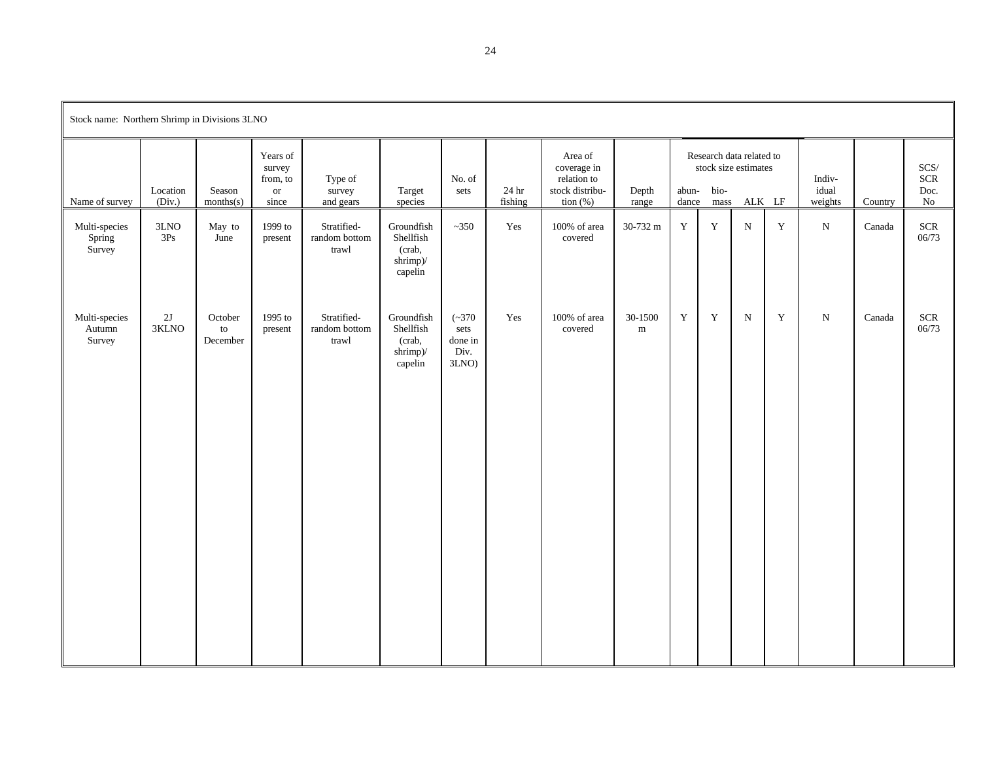| Stock name: Northern Shrimp in Divisions 3LNO |                    |                                    |                                                      |                                       |                                                          |                                              |                             |                                                                         |                      |                |                                                                  |           |             |                            |         |                                          |
|-----------------------------------------------|--------------------|------------------------------------|------------------------------------------------------|---------------------------------------|----------------------------------------------------------|----------------------------------------------|-----------------------------|-------------------------------------------------------------------------|----------------------|----------------|------------------------------------------------------------------|-----------|-------------|----------------------------|---------|------------------------------------------|
| Name of survey                                | Location<br>(Div.) | Season<br>months(s)                | Years of<br>survey<br>from, to<br><b>or</b><br>since | Type of<br>survey<br>and gears        | Target<br>species                                        | No. of<br>sets                               | 24 <sub>hr</sub><br>fishing | Area of<br>coverage in<br>relation to<br>stock distribu-<br>tion $(\%)$ | Depth<br>range       | abun-<br>dance | Research data related to<br>stock size estimates<br>bio-<br>mass | ALK LF    |             | Indiv-<br>idual<br>weights | Country | $SCS/$<br><b>SCR</b><br>Doc.<br>$\rm No$ |
| Multi-species<br>Spring<br>Survey             | 3LNO<br>3Ps        | May to<br>June                     | 1999 to<br>present                                   | Stratified-<br>random bottom<br>trawl | Groundfish<br>Shellfish<br>(crab,<br>shrimp)/<br>capelin | $~1 - 350$                                   | Yes                         | 100% of area<br>covered                                                 | 30-732 m             | $\mathbf Y$    | $\mathbf Y$                                                      | ${\bf N}$ | $\mathbf Y$ | ${\bf N}$                  | Canada  | $SCR$<br>06/73                           |
| Multi-species<br>Autumn<br>Survey             | 2J<br>3KLNO        | October<br>to<br>$\mbox{December}$ | 1995 to<br>present                                   | Stratified-<br>random bottom<br>trawl | Groundfish<br>Shellfish<br>(crab,<br>shrimp)/<br>capelin | $(-370)$<br>sets<br>done in<br>Div.<br>3LNO) | Yes                         | 100% of area<br>covered                                                 | 30-1500<br>${\bf m}$ | $\mathbf Y$    | Y                                                                | ${\bf N}$ | $\mathbf Y$ | $_{\rm N}$                 | Canada  | <b>SCR</b><br>06/73                      |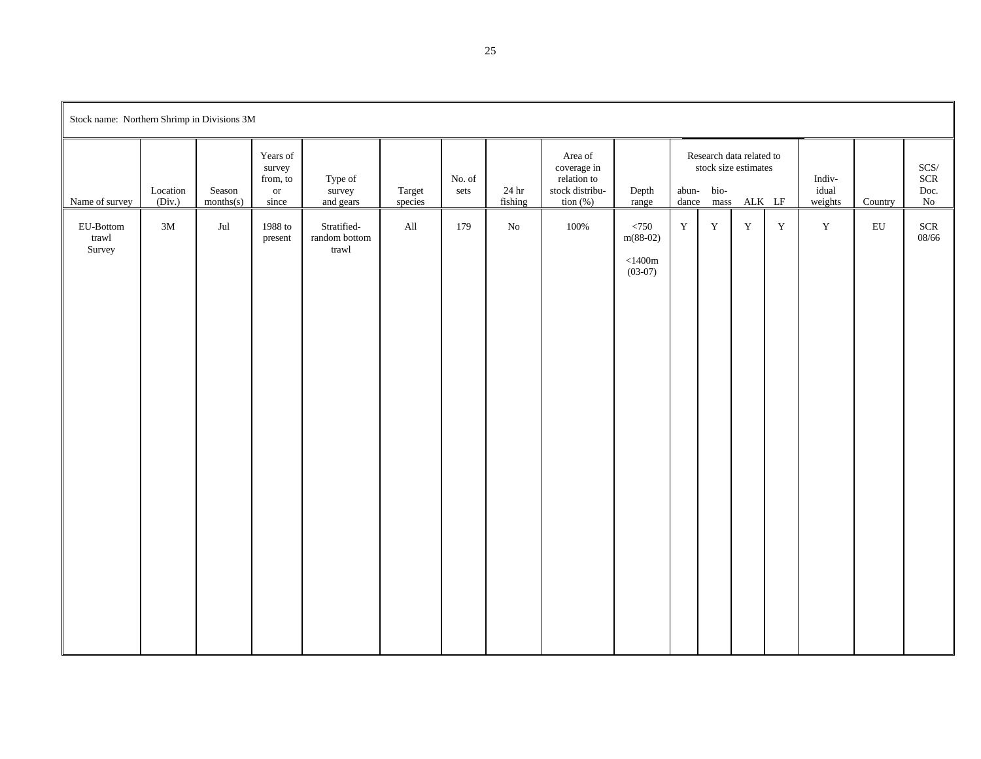| Stock name: Northern Shrimp in Divisions 3M |                    |                     |                                                    |                                                                        |                   |                |                              |                                                                         |                                                          |             |                    |                                                            |             |                            |            |                                     |
|---------------------------------------------|--------------------|---------------------|----------------------------------------------------|------------------------------------------------------------------------|-------------------|----------------|------------------------------|-------------------------------------------------------------------------|----------------------------------------------------------|-------------|--------------------|------------------------------------------------------------|-------------|----------------------------|------------|-------------------------------------|
| Name of survey                              | Location<br>(Div.) | Season<br>months(s) | Years of<br>survey<br>from, to<br>$\,$ or<br>since | Type of<br>survey<br>and gears                                         | Target<br>species | No. of<br>sets | $24\,\mathrm{hr}$<br>fishing | Area of<br>coverage in<br>relation to<br>stock distribu-<br>tion $(\%)$ | Depth<br>range                                           | abun-       | bio-<br>dance mass | Research data related to<br>stock size estimates<br>ALK LF |             | Indiv-<br>idual<br>weights | Country    | $SCS/$<br>$SCR$<br>Doc.<br>$\rm No$ |
| EU-Bottom<br>trawl<br>Survey                | $3\mathrm{M}$      | $_{\rm{Jul}}$       | 1988 to<br>present                                 | Stratified-<br>random bottom<br>$\mbox{tr} \mbox{a} \mbox{w} \mbox{l}$ | All               | 179            | ${\rm No}$                   | 100%                                                                    | $<750$<br>$m(88-02)$<br>${<}1400\mathrm{m}$<br>$(03-07)$ | $\mathbf Y$ | $\mathbf Y$        | $\mathbf Y$                                                | $\mathbf Y$ | $\mathbf Y$                | ${\rm EU}$ | $SCR$<br>08/66                      |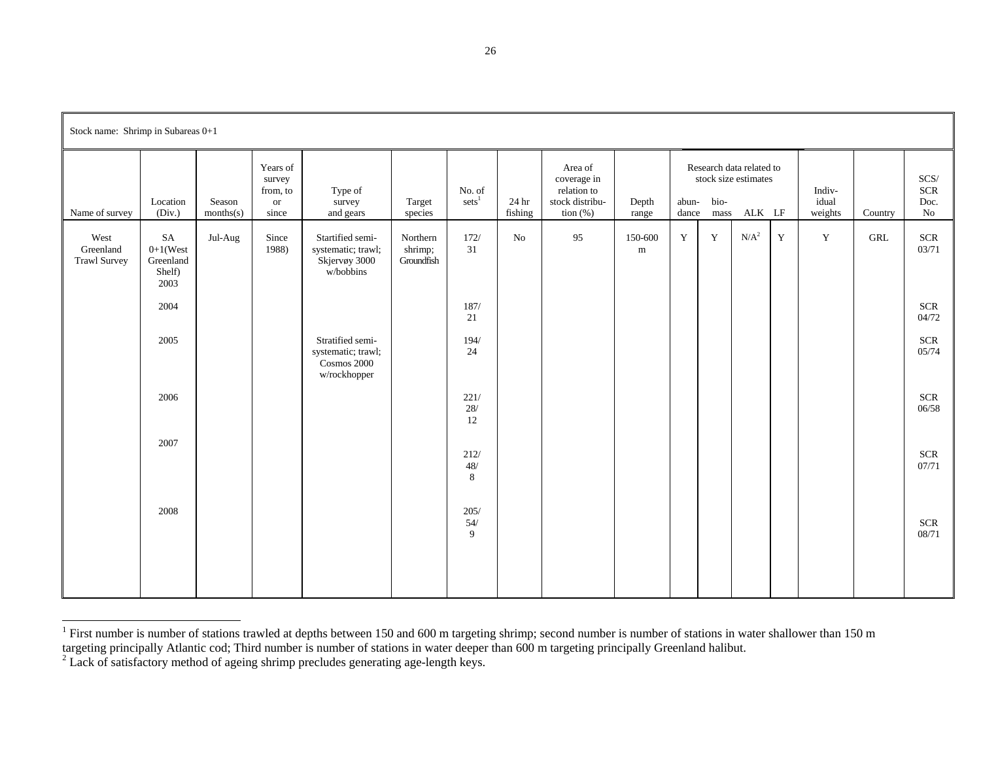| Stock name: Shrimp in Subareas 0+1       |                                                          |                     |                                                          |                                                                       |                                   |                             |                  |                                                                                              |                |                                                                                              |             |                  |             |                            |         |                                          |
|------------------------------------------|----------------------------------------------------------|---------------------|----------------------------------------------------------|-----------------------------------------------------------------------|-----------------------------------|-----------------------------|------------------|----------------------------------------------------------------------------------------------|----------------|----------------------------------------------------------------------------------------------|-------------|------------------|-------------|----------------------------|---------|------------------------------------------|
| Name of survey                           | Location<br>(Div.)                                       | Season<br>months(s) | Years of<br>survey<br>from, to<br><sub>or</sub><br>since | Type of<br>survey<br>and gears                                        | Target<br>species                 | No. of<br>sets <sup>1</sup> | 24 hr<br>fishing | Area of<br>coverage in<br>relation to<br>stock distribu-<br>$\frac{1}{2}$ tion $\frac{1}{2}$ | Depth<br>range | Research data related to<br>stock size estimates<br>bio-<br>abun-<br>ALK LF<br>dance<br>mass |             |                  |             | Indiv-<br>idual<br>weights | Country | $SCS/$<br><b>SCR</b><br>Doc.<br>$\rm No$ |
| West<br>Greenland<br><b>Trawl Survey</b> | SA<br>$0+1$ (West<br>Greenland<br>Shelf)<br>2003<br>2004 | Jul-Aug             | Since<br>1988)                                           | Startified semi-<br>systematic; trawl;<br>Skjervøy 3000<br>w/bobbins  | Northern<br>shrimp;<br>Groundfish | 172/<br>31<br>187/<br>21    | $\rm No$         | 95                                                                                           | 150-600<br>m   | $\mathbf Y$                                                                                  | $\mathbf Y$ | N/A <sup>2</sup> | $\mathbf Y$ | $\mathbf Y$                | GRL     | $SCR$<br>03/71<br><b>SCR</b><br>04/72    |
|                                          | 2005                                                     |                     |                                                          | Stratified semi-<br>systematic; trawl;<br>Cosmos 2000<br>w/rockhopper |                                   | 194/<br>24                  |                  |                                                                                              |                |                                                                                              |             |                  |             |                            |         | <b>SCR</b><br>05/74                      |
|                                          | 2006                                                     |                     |                                                          |                                                                       |                                   | 221/<br>$28/$<br>$12\,$     |                  |                                                                                              |                |                                                                                              |             |                  |             |                            |         | <b>SCR</b><br>06/58                      |
|                                          | 2007                                                     |                     |                                                          |                                                                       |                                   | 212/<br>$48/$<br>$\,8\,$    |                  |                                                                                              |                |                                                                                              |             |                  |             |                            |         | <b>SCR</b><br>07/71                      |
|                                          | 2008                                                     |                     |                                                          |                                                                       |                                   | 205/<br>54/<br>9            |                  |                                                                                              |                |                                                                                              |             |                  |             |                            |         | <b>SCR</b><br>08/71                      |
|                                          |                                                          |                     |                                                          |                                                                       |                                   |                             |                  |                                                                                              |                |                                                                                              |             |                  |             |                            |         |                                          |

<sup>&</sup>lt;sup>1</sup> First number is number of stations trawled at depths between 150 and 600 m targeting shrimp; second number is number of stations in water shallower than 150 m

targeting principally Atlantic cod; Third number is number of stations in water deeper than 600 m targeting principally Greenland halibut.

 $2^2$  Lack of satisfactory method of ageing shrimp precludes generating age-length keys.